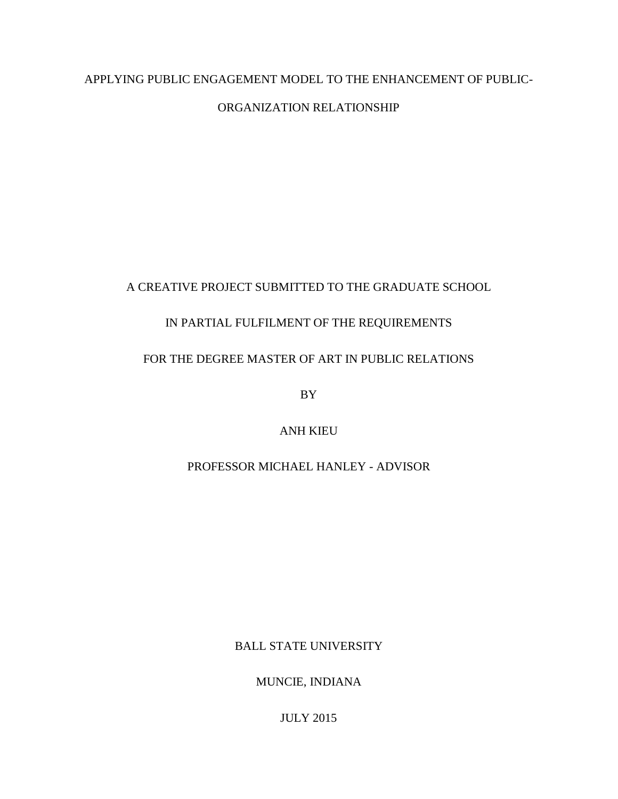## APPLYING PUBLIC ENGAGEMENT MODEL TO THE ENHANCEMENT OF PUBLIC-

## ORGANIZATION RELATIONSHIP

## A CREATIVE PROJECT SUBMITTED TO THE GRADUATE SCHOOL

## IN PARTIAL FULFILMENT OF THE REQUIREMENTS

## FOR THE DEGREE MASTER OF ART IN PUBLIC RELATIONS

BY

ANH KIEU

## PROFESSOR MICHAEL HANLEY - ADVISOR

BALL STATE UNIVERSITY

MUNCIE, INDIANA

JULY 2015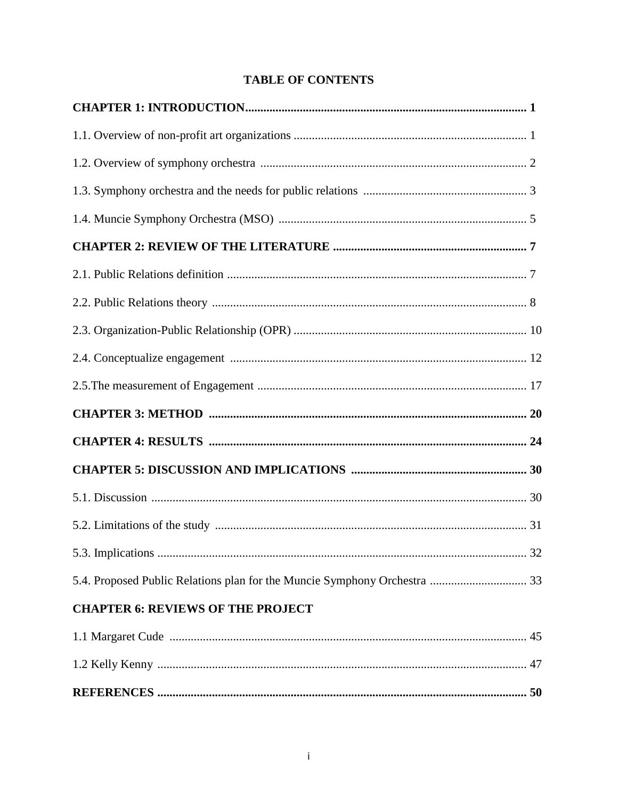## **TABLE OF CONTENTS**

| <b>CHAPTER 6: REVIEWS OF THE PROJECT</b> |  |
|------------------------------------------|--|
|                                          |  |
|                                          |  |
|                                          |  |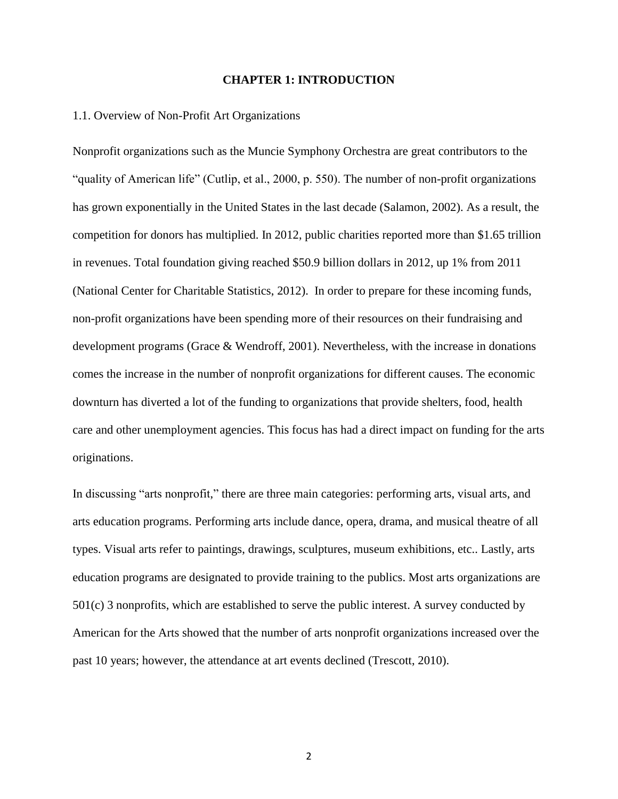#### **CHAPTER 1: INTRODUCTION**

#### 1.1. Overview of Non-Profit Art Organizations

Nonprofit organizations such as the Muncie Symphony Orchestra are great contributors to the "quality of American life" (Cutlip, et al., 2000, p. 550). The number of non-profit organizations has grown exponentially in the United States in the last decade (Salamon, 2002). As a result, the competition for donors has multiplied. In 2012, public charities reported more than \$1.65 trillion in revenues. Total foundation giving reached \$50.9 billion dollars in 2012, up 1% from 2011 (National Center for Charitable Statistics, 2012). In order to prepare for these incoming funds, non-profit organizations have been spending more of their resources on their fundraising and development programs (Grace & Wendroff, 2001). Nevertheless, with the increase in donations comes the increase in the number of nonprofit organizations for different causes. The economic downturn has diverted a lot of the funding to organizations that provide shelters, food, health care and other unemployment agencies. This focus has had a direct impact on funding for the arts originations.

In discussing "arts nonprofit," there are three main categories: performing arts, visual arts, and arts education programs. Performing arts include dance, opera, drama, and musical theatre of all types. Visual arts refer to paintings, drawings, sculptures, museum exhibitions, etc.. Lastly, arts education programs are designated to provide training to the publics. Most arts organizations are 501(c) 3 nonprofits, which are established to serve the public interest. A survey conducted by American for the Arts showed that the number of arts nonprofit organizations increased over the past 10 years; however, the attendance at art events declined (Trescott, 2010).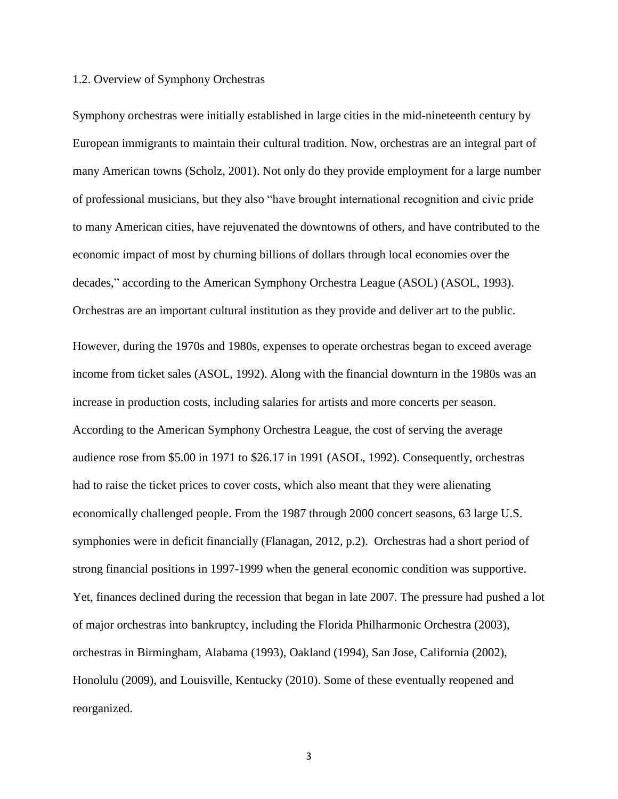#### 1.2. Overview of Symphony Orchestras

Symphony orchestras were initially established in large cities in the mid-nineteenth century by European immigrants to maintain their cultural tradition. Now, orchestras are an integral part of many American towns (Scholz, 2001). Not only do they provide employment for a large number of professional musicians, but they also "have brought international recognition and civic pride to many American cities, have rejuvenated the downtowns of others, and have contributed to the economic impact of most by churning billions of dollars through local economies over the decades," according to the American Symphony Orchestra League (ASOL) (ASOL, 1993). Orchestras are an important cultural institution as they provide and deliver art to the public. However, during the 1970s and 1980s, expenses to operate orchestras began to exceed average income from ticket sales (ASOL, 1992). Along with the financial downturn in the 1980s was an increase in production costs, including salaries for artists and more concerts per season. According to the American Symphony Orchestra League, the cost of serving the average audience rose from \$5.00 in 1971 to \$26.17 in 1991 (ASOL, 1992). Consequently, orchestras had to raise the ticket prices to cover costs, which also meant that they were alienating economically challenged people. From the 1987 through 2000 concert seasons, 63 large U.S. symphonies were in deficit financially (Flanagan, 2012, p.2). Orchestras had a short period of strong financial positions in 1997-1999 when the general economic condition was supportive. Yet, finances declined during the recession that began in late 2007. The pressure had pushed a lot of major orchestras into bankruptcy, including the Florida Philharmonic Orchestra (2003), orchestras in Birmingham, Alabama (1993), Oakland (1994), San Jose, California (2002), Honolulu (2009), and Louisville, Kentucky (2010). Some of these eventually reopened and reorganized.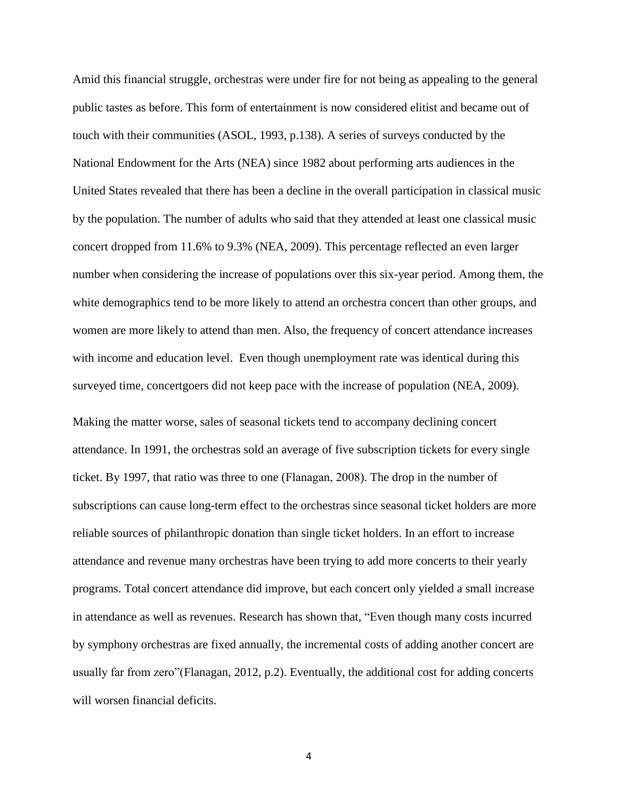Amid this financial struggle, orchestras were under fire for not being as appealing to the general public tastes as before. This form of entertainment is now considered elitist and became out of touch with their communities (ASOL, 1993, p.138). A series of surveys conducted by the National Endowment for the Arts (NEA) since 1982 about performing arts audiences in the United States revealed that there has been a decline in the overall participation in classical music by the population. The number of adults who said that they attended at least one classical music concert dropped from 11.6% to 9.3% (NEA, 2009). This percentage reflected an even larger number when considering the increase of populations over this six-year period. Among them, the white demographics tend to be more likely to attend an orchestra concert than other groups, and women are more likely to attend than men. Also, the frequency of concert attendance increases with income and education level. Even though unemployment rate was identical during this surveyed time, concertgoers did not keep pace with the increase of population (NEA, 2009).

Making the matter worse, sales of seasonal tickets tend to accompany declining concert attendance. In 1991, the orchestras sold an average of five subscription tickets for every single ticket. By 1997, that ratio was three to one (Flanagan, 2008). The drop in the number of subscriptions can cause long-term effect to the orchestras since seasonal ticket holders are more reliable sources of philanthropic donation than single ticket holders. In an effort to increase attendance and revenue many orchestras have been trying to add more concerts to their yearly programs. Total concert attendance did improve, but each concert only yielded a small increase in attendance as well as revenues. Research has shown that, "Even though many costs incurred by symphony orchestras are fixed annually, the incremental costs of adding another concert are usually far from zero"(Flanagan, 2012, p.2). Eventually, the additional cost for adding concerts will worsen financial deficits.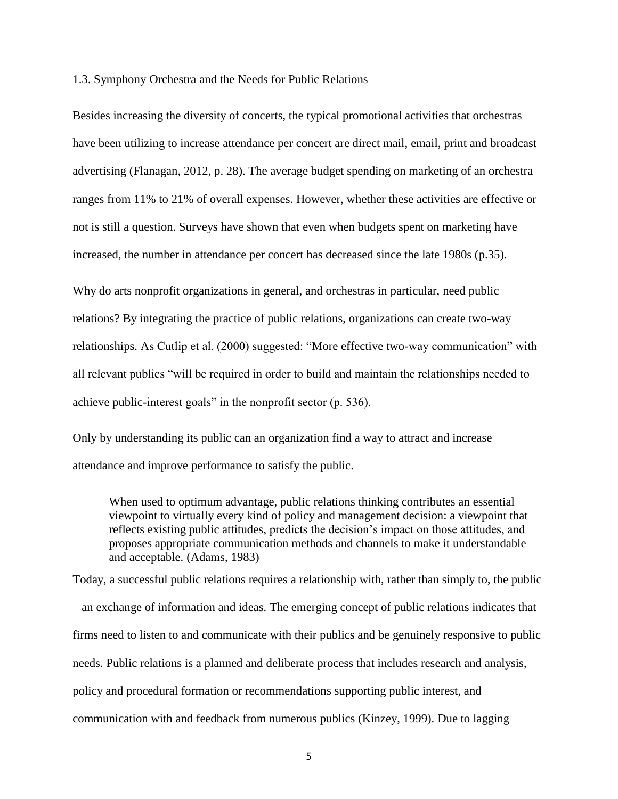1.3. Symphony Orchestra and the Needs for Public Relations

Besides increasing the diversity of concerts, the typical promotional activities that orchestras have been utilizing to increase attendance per concert are direct mail, email, print and broadcast advertising (Flanagan, 2012, p. 28). The average budget spending on marketing of an orchestra ranges from 11% to 21% of overall expenses. However, whether these activities are effective or not is still a question. Surveys have shown that even when budgets spent on marketing have increased, the number in attendance per concert has decreased since the late 1980s (p.35).

Why do arts nonprofit organizations in general, and orchestras in particular, need public relations? By integrating the practice of public relations, organizations can create two-way relationships. As Cutlip et al. (2000) suggested: "More effective two-way communication" with all relevant publics "will be required in order to build and maintain the relationships needed to achieve public-interest goals" in the nonprofit sector (p. 536).

Only by understanding its public can an organization find a way to attract and increase attendance and improve performance to satisfy the public.

When used to optimum advantage, public relations thinking contributes an essential viewpoint to virtually every kind of policy and management decision: a viewpoint that reflects existing public attitudes, predicts the decision's impact on those attitudes, and proposes appropriate communication methods and channels to make it understandable and acceptable. (Adams, 1983)

Today, a successful public relations requires a relationship with, rather than simply to, the public – an exchange of information and ideas. The emerging concept of public relations indicates that firms need to listen to and communicate with their publics and be genuinely responsive to public needs. Public relations is a planned and deliberate process that includes research and analysis, policy and procedural formation or recommendations supporting public interest, and communication with and feedback from numerous publics (Kinzey, 1999). Due to lagging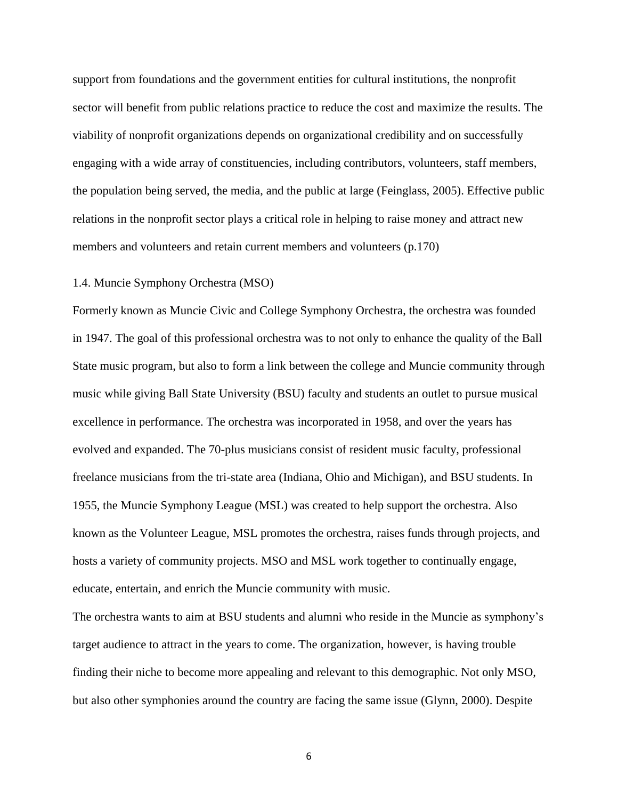support from foundations and the government entities for cultural institutions, the nonprofit sector will benefit from public relations practice to reduce the cost and maximize the results. The viability of nonprofit organizations depends on organizational credibility and on successfully engaging with a wide array of constituencies, including contributors, volunteers, staff members, the population being served, the media, and the public at large (Feinglass, 2005). Effective public relations in the nonprofit sector plays a critical role in helping to raise money and attract new members and volunteers and retain current members and volunteers (p.170)

#### 1.4. Muncie Symphony Orchestra (MSO)

Formerly known as Muncie Civic and College Symphony Orchestra, the orchestra was founded in 1947. The goal of this professional orchestra was to not only to enhance the quality of the Ball State music program, but also to form a link between the college and Muncie community through music while giving Ball State University (BSU) faculty and students an outlet to pursue musical excellence in performance. The orchestra was incorporated in 1958, and over the years has evolved and expanded. The 70-plus musicians consist of resident music faculty, professional freelance musicians from the tri-state area (Indiana, Ohio and Michigan), and BSU students. In 1955, the Muncie Symphony League (MSL) was created to help support the orchestra. Also known as the Volunteer League, MSL promotes the orchestra, raises funds through projects, and hosts a variety of community projects. MSO and MSL work together to continually engage, educate, entertain, and enrich the Muncie community with music.

The orchestra wants to aim at BSU students and alumni who reside in the Muncie as symphony's target audience to attract in the years to come. The organization, however, is having trouble finding their niche to become more appealing and relevant to this demographic. Not only MSO, but also other symphonies around the country are facing the same issue (Glynn, 2000). Despite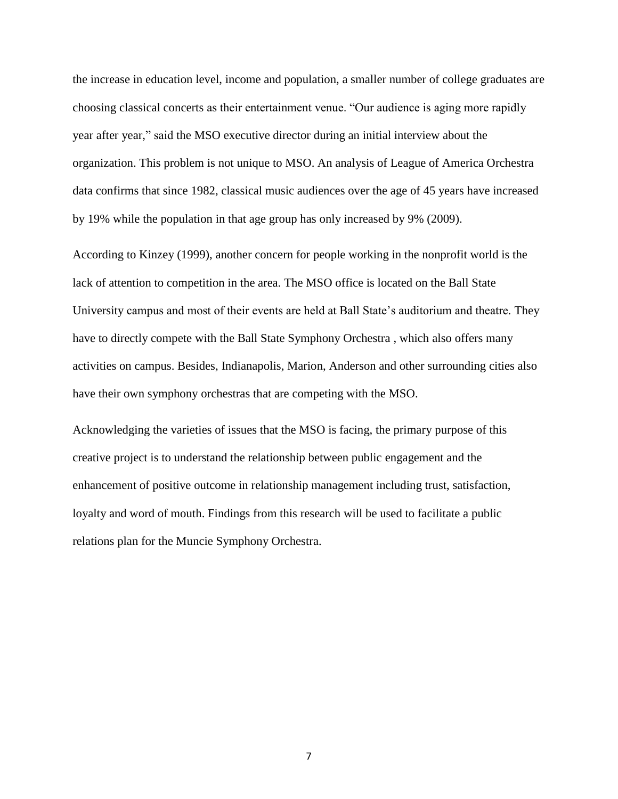the increase in education level, income and population, a smaller number of college graduates are choosing classical concerts as their entertainment venue. "Our audience is aging more rapidly year after year," said the MSO executive director during an initial interview about the organization. This problem is not unique to MSO. An analysis of League of America Orchestra data confirms that since 1982, classical music audiences over the age of 45 years have increased by 19% while the population in that age group has only increased by 9% (2009).

According to Kinzey (1999), another concern for people working in the nonprofit world is the lack of attention to competition in the area. The MSO office is located on the Ball State University campus and most of their events are held at Ball State's auditorium and theatre. They have to directly compete with the Ball State Symphony Orchestra , which also offers many activities on campus. Besides, Indianapolis, Marion, Anderson and other surrounding cities also have their own symphony orchestras that are competing with the MSO.

Acknowledging the varieties of issues that the MSO is facing, the primary purpose of this creative project is to understand the relationship between public engagement and the enhancement of positive outcome in relationship management including trust, satisfaction, loyalty and word of mouth. Findings from this research will be used to facilitate a public relations plan for the Muncie Symphony Orchestra.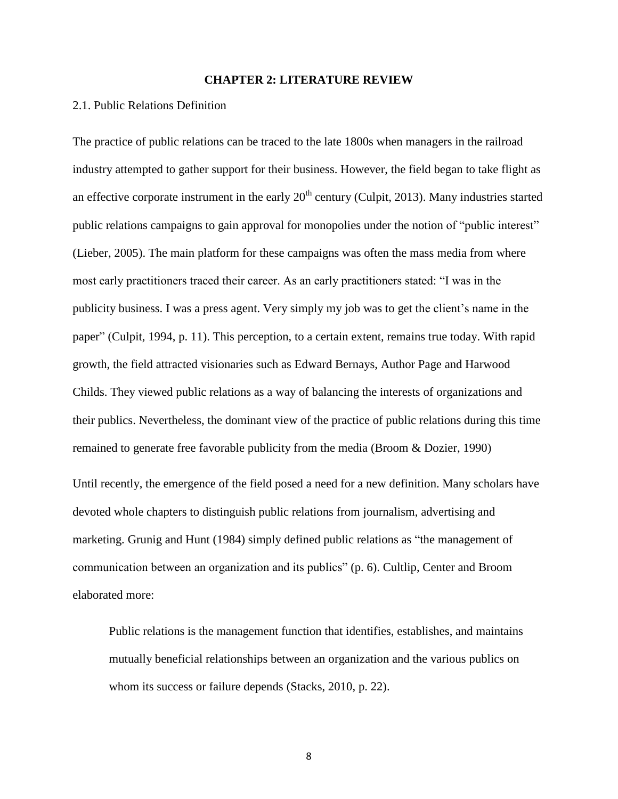#### **CHAPTER 2: LITERATURE REVIEW**

#### 2.1. Public Relations Definition

The practice of public relations can be traced to the late 1800s when managers in the railroad industry attempted to gather support for their business. However, the field began to take flight as an effective corporate instrument in the early  $20<sup>th</sup>$  century (Culpit, 2013). Many industries started public relations campaigns to gain approval for monopolies under the notion of "public interest" (Lieber, 2005). The main platform for these campaigns was often the mass media from where most early practitioners traced their career. As an early practitioners stated: "I was in the publicity business. I was a press agent. Very simply my job was to get the client's name in the paper" (Culpit, 1994, p. 11). This perception, to a certain extent, remains true today. With rapid growth, the field attracted visionaries such as Edward Bernays, Author Page and Harwood Childs. They viewed public relations as a way of balancing the interests of organizations and their publics. Nevertheless, the dominant view of the practice of public relations during this time remained to generate free favorable publicity from the media (Broom & Dozier, 1990)

Until recently, the emergence of the field posed a need for a new definition. Many scholars have devoted whole chapters to distinguish public relations from journalism, advertising and marketing. Grunig and Hunt (1984) simply defined public relations as "the management of communication between an organization and its publics" (p. 6). Cultlip, Center and Broom elaborated more:

Public relations is the management function that identifies, establishes, and maintains mutually beneficial relationships between an organization and the various publics on whom its success or failure depends (Stacks, 2010, p. 22).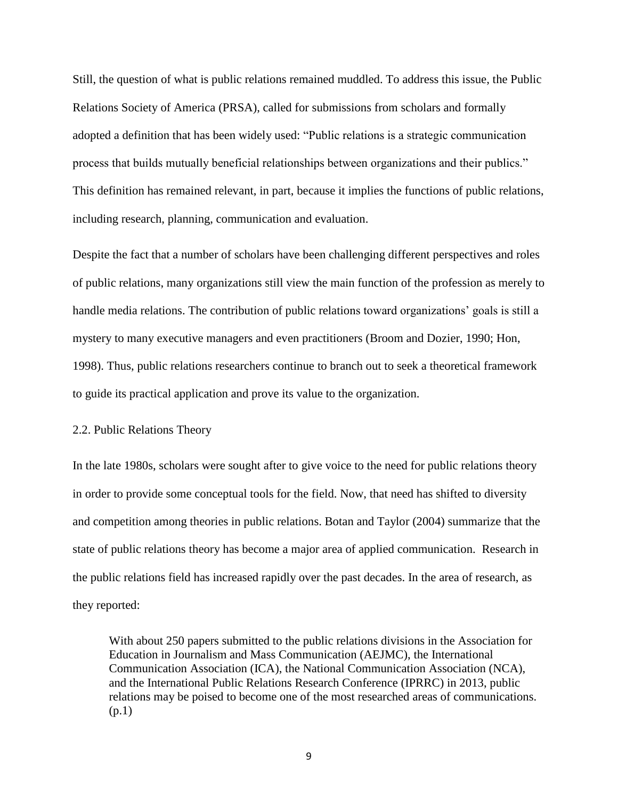Still, the question of what is public relations remained muddled. To address this issue, the Public Relations Society of America (PRSA), called for submissions from scholars and formally adopted a definition that has been widely used: "Public relations is a strategic communication process that builds mutually beneficial relationships between organizations and their publics." This definition has remained relevant, in part, because it implies the functions of public relations, including research, planning, communication and evaluation.

Despite the fact that a number of scholars have been challenging different perspectives and roles of public relations, many organizations still view the main function of the profession as merely to handle media relations. The contribution of public relations toward organizations' goals is still a mystery to many executive managers and even practitioners (Broom and Dozier, 1990; Hon, 1998). Thus, public relations researchers continue to branch out to seek a theoretical framework to guide its practical application and prove its value to the organization.

#### 2.2. Public Relations Theory

In the late 1980s, scholars were sought after to give voice to the need for public relations theory in order to provide some conceptual tools for the field. Now, that need has shifted to diversity and competition among theories in public relations. Botan and Taylor (2004) summarize that the state of public relations theory has become a major area of applied communication. Research in the public relations field has increased rapidly over the past decades. In the area of research, as they reported:

With about 250 papers submitted to the public relations divisions in the Association for Education in Journalism and Mass Communication (AEJMC), the International Communication Association (ICA), the National Communication Association (NCA), and the International Public Relations Research Conference (IPRRC) in 2013, public relations may be poised to become one of the most researched areas of communications. (p.1)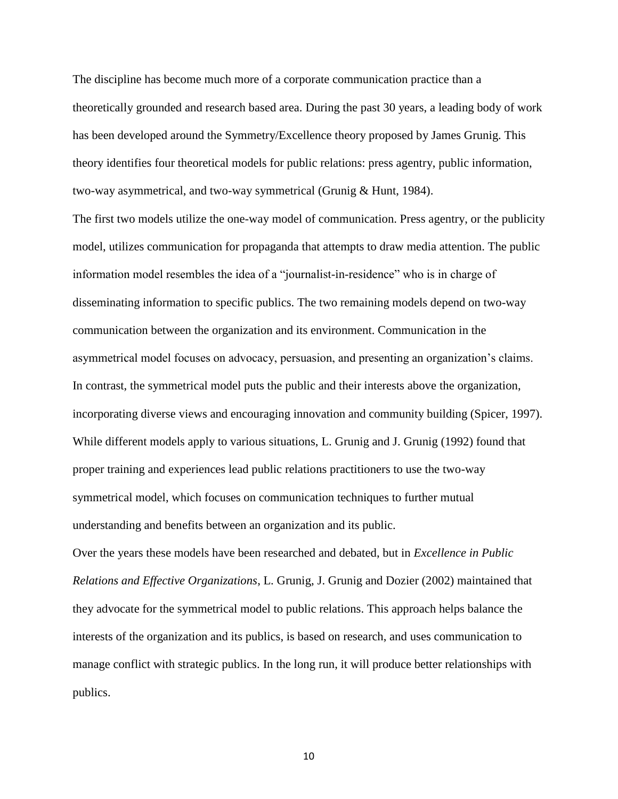The discipline has become much more of a corporate communication practice than a theoretically grounded and research based area. During the past 30 years, a leading body of work has been developed around the Symmetry/Excellence theory proposed by James Grunig. This theory identifies four theoretical models for public relations: press agentry, public information, two-way asymmetrical, and two-way symmetrical (Grunig & Hunt, 1984).

The first two models utilize the one-way model of communication. Press agentry, or the publicity model, utilizes communication for propaganda that attempts to draw media attention. The public information model resembles the idea of a "journalist-in-residence" who is in charge of disseminating information to specific publics. The two remaining models depend on two-way communication between the organization and its environment. Communication in the asymmetrical model focuses on advocacy, persuasion, and presenting an organization's claims. In contrast, the symmetrical model puts the public and their interests above the organization, incorporating diverse views and encouraging innovation and community building (Spicer, 1997). While different models apply to various situations, L. Grunig and J. Grunig (1992) found that proper training and experiences lead public relations practitioners to use the two-way symmetrical model, which focuses on communication techniques to further mutual understanding and benefits between an organization and its public.

Over the years these models have been researched and debated, but in *Excellence in Public Relations and Effective Organizations*, L. Grunig, J. Grunig and Dozier (2002) maintained that they advocate for the symmetrical model to public relations. This approach helps balance the interests of the organization and its publics, is based on research, and uses communication to manage conflict with strategic publics. In the long run, it will produce better relationships with publics.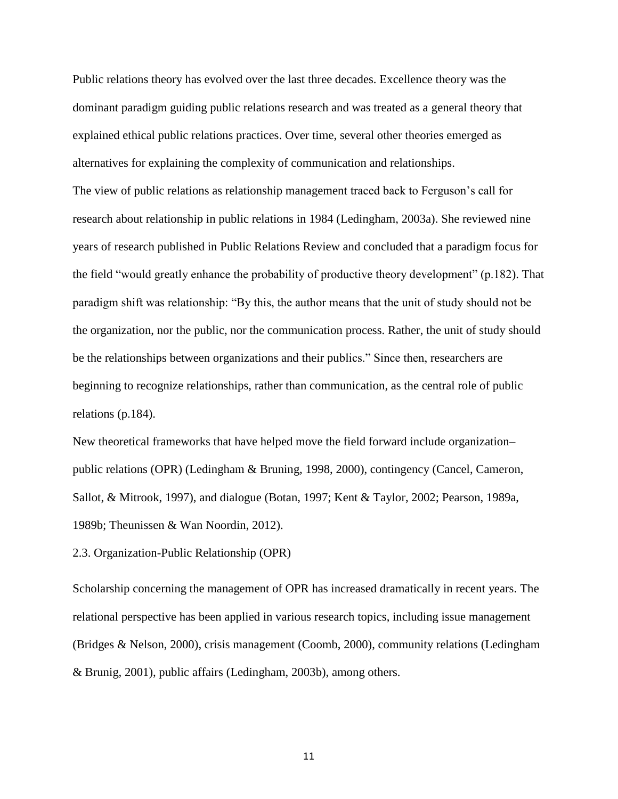Public relations theory has evolved over the last three decades. Excellence theory was the dominant paradigm guiding public relations research and was treated as a general theory that explained ethical public relations practices. Over time, several other theories emerged as alternatives for explaining the complexity of communication and relationships.

The view of public relations as relationship management traced back to Ferguson's call for research about relationship in public relations in 1984 (Ledingham, 2003a). She reviewed nine years of research published in Public Relations Review and concluded that a paradigm focus for the field "would greatly enhance the probability of productive theory development" (p.182). That paradigm shift was relationship: "By this, the author means that the unit of study should not be the organization, nor the public, nor the communication process. Rather, the unit of study should be the relationships between organizations and their publics." Since then, researchers are beginning to recognize relationships, rather than communication, as the central role of public relations (p.184).

New theoretical frameworks that have helped move the field forward include organization– public relations (OPR) (Ledingham & Bruning, 1998, 2000), contingency (Cancel, Cameron, Sallot, & Mitrook, 1997), and dialogue (Botan, 1997; Kent & Taylor, 2002; Pearson, 1989a, 1989b; Theunissen & Wan Noordin, 2012).

2.3. Organization-Public Relationship (OPR)

Scholarship concerning the management of OPR has increased dramatically in recent years. The relational perspective has been applied in various research topics, including issue management (Bridges & Nelson, 2000), crisis management (Coomb, 2000), community relations (Ledingham & Brunig, 2001), public affairs (Ledingham, 2003b), among others.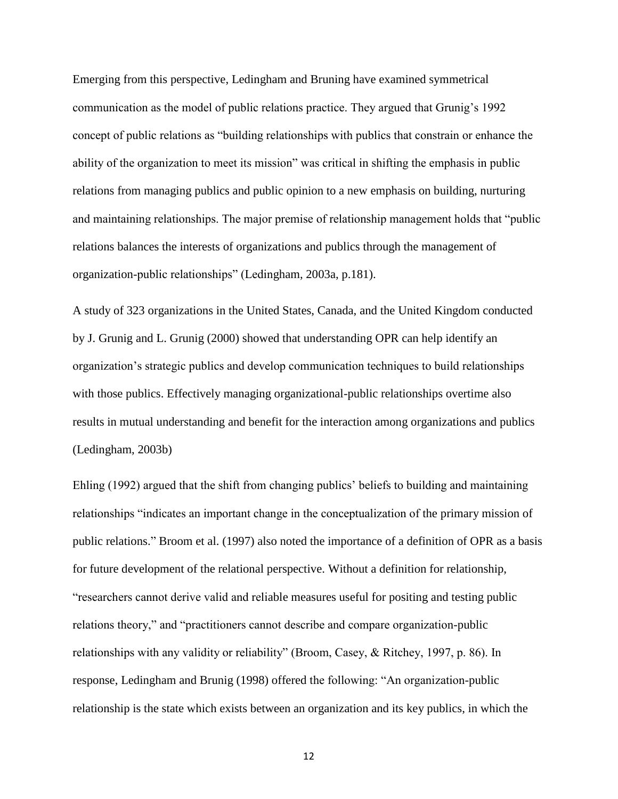Emerging from this perspective, Ledingham and Bruning have examined symmetrical communication as the model of public relations practice. They argued that Grunig's 1992 concept of public relations as "building relationships with publics that constrain or enhance the ability of the organization to meet its mission" was critical in shifting the emphasis in public relations from managing publics and public opinion to a new emphasis on building, nurturing and maintaining relationships. The major premise of relationship management holds that "public relations balances the interests of organizations and publics through the management of organization-public relationships" (Ledingham, 2003a, p.181).

A study of 323 organizations in the United States, Canada, and the United Kingdom conducted by J. Grunig and L. Grunig (2000) showed that understanding OPR can help identify an organization's strategic publics and develop communication techniques to build relationships with those publics. Effectively managing organizational-public relationships overtime also results in mutual understanding and benefit for the interaction among organizations and publics (Ledingham, 2003b)

Ehling (1992) argued that the shift from changing publics' beliefs to building and maintaining relationships "indicates an important change in the conceptualization of the primary mission of public relations." Broom et al. (1997) also noted the importance of a definition of OPR as a basis for future development of the relational perspective. Without a definition for relationship, "researchers cannot derive valid and reliable measures useful for positing and testing public relations theory," and "practitioners cannot describe and compare organization-public relationships with any validity or reliability" (Broom, Casey, & Ritchey, 1997, p. 86). In response, Ledingham and Brunig (1998) offered the following: "An organization-public relationship is the state which exists between an organization and its key publics, in which the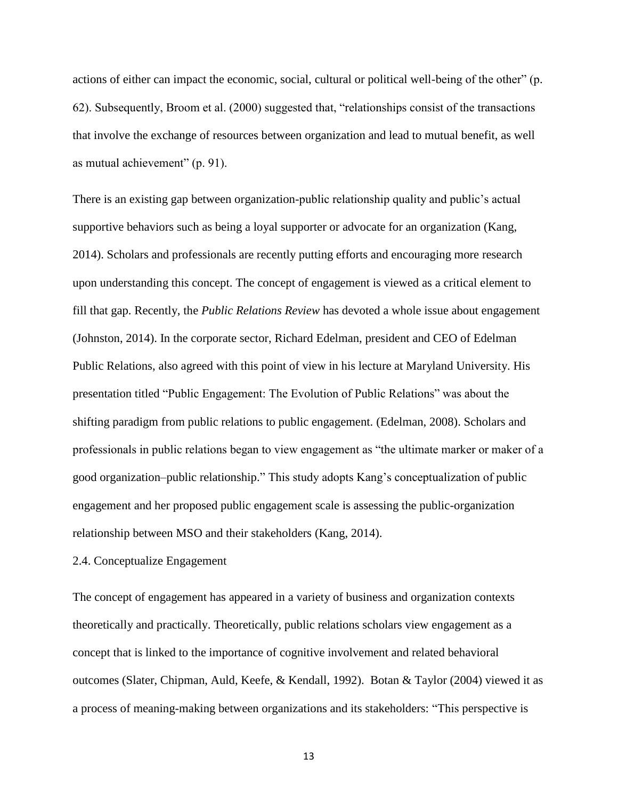actions of either can impact the economic, social, cultural or political well-being of the other" (p. 62). Subsequently, Broom et al. (2000) suggested that, "relationships consist of the transactions that involve the exchange of resources between organization and lead to mutual benefit, as well as mutual achievement" (p. 91).

There is an existing gap between organization-public relationship quality and public's actual supportive behaviors such as being a loyal supporter or advocate for an organization (Kang, 2014). Scholars and professionals are recently putting efforts and encouraging more research upon understanding this concept. The concept of engagement is viewed as a critical element to fill that gap. Recently, the *Public Relations Review* has devoted a whole issue about engagement (Johnston, 2014). In the corporate sector, Richard Edelman, president and CEO of Edelman Public Relations, also agreed with this point of view in his lecture at Maryland University. His presentation titled "Public Engagement: The Evolution of Public Relations" was about the shifting paradigm from public relations to public engagement. (Edelman, 2008). Scholars and professionals in public relations began to view engagement as "the ultimate marker or maker of a good organization–public relationship." This study adopts Kang's conceptualization of public engagement and her proposed public engagement scale is assessing the public-organization relationship between MSO and their stakeholders (Kang, 2014).

#### 2.4. Conceptualize Engagement

The concept of engagement has appeared in a variety of business and organization contexts theoretically and practically. Theoretically, public relations scholars view engagement as a concept that is linked to the importance of cognitive involvement and related behavioral outcomes (Slater, Chipman, Auld, Keefe, & Kendall, 1992). Botan & Taylor (2004) viewed it as a process of meaning-making between organizations and its stakeholders: "This perspective is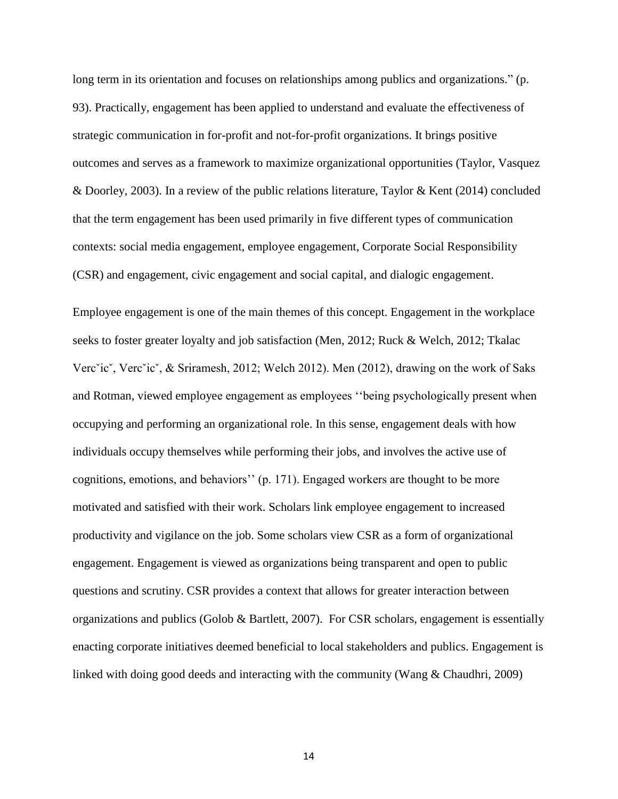long term in its orientation and focuses on relationships among publics and organizations." (p. 93). Practically, engagement has been applied to understand and evaluate the effectiveness of strategic communication in for-profit and not-for-profit organizations. It brings positive outcomes and serves as a framework to maximize organizational opportunities (Taylor, Vasquez & Doorley, 2003). In a review of the public relations literature, Taylor & Kent (2014) concluded that the term engagement has been used primarily in five different types of communication contexts: social media engagement, employee engagement, Corporate Social Responsibility (CSR) and engagement, civic engagement and social capital, and dialogic engagement.

Employee engagement is one of the main themes of this concept. Engagement in the workplace seeks to foster greater loyalty and job satisfaction (Men, 2012; Ruck & Welch, 2012; Tkalac Vercˇicˇ, Vercˇicˇ, & Sriramesh, 2012; Welch 2012). Men (2012), drawing on the work of Saks and Rotman, viewed employee engagement as employees ''being psychologically present when occupying and performing an organizational role. In this sense, engagement deals with how individuals occupy themselves while performing their jobs, and involves the active use of cognitions, emotions, and behaviors'' (p. 171). Engaged workers are thought to be more motivated and satisfied with their work. Scholars link employee engagement to increased productivity and vigilance on the job. Some scholars view CSR as a form of organizational engagement. Engagement is viewed as organizations being transparent and open to public questions and scrutiny. CSR provides a context that allows for greater interaction between organizations and publics (Golob & Bartlett, 2007). For CSR scholars, engagement is essentially enacting corporate initiatives deemed beneficial to local stakeholders and publics. Engagement is linked with doing good deeds and interacting with the community (Wang & Chaudhri, 2009)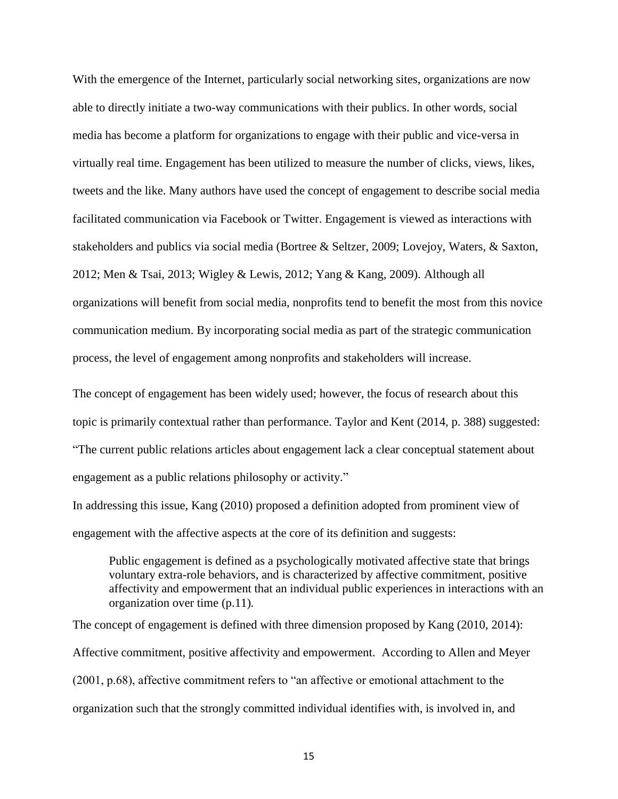With the emergence of the Internet, particularly social networking sites, organizations are now able to directly initiate a two-way communications with their publics. In other words, social media has become a platform for organizations to engage with their public and vice-versa in virtually real time. Engagement has been utilized to measure the number of clicks, views, likes, tweets and the like. Many authors have used the concept of engagement to describe social media facilitated communication via Facebook or Twitter. Engagement is viewed as interactions with stakeholders and publics via social media (Bortree & Seltzer, 2009; Lovejoy, Waters, & Saxton, 2012; Men & Tsai, 2013; Wigley & Lewis, 2012; Yang & Kang, 2009). Although all organizations will benefit from social media, nonprofits tend to benefit the most from this novice communication medium. By incorporating social media as part of the strategic communication process, the level of engagement among nonprofits and stakeholders will increase.

The concept of engagement has been widely used; however, the focus of research about this topic is primarily contextual rather than performance. Taylor and Kent (2014, p. 388) suggested: "The current public relations articles about engagement lack a clear conceptual statement about engagement as a public relations philosophy or activity."

In addressing this issue, Kang (2010) proposed a definition adopted from prominent view of engagement with the affective aspects at the core of its definition and suggests:

Public engagement is defined as a psychologically motivated affective state that brings voluntary extra-role behaviors, and is characterized by affective commitment, positive affectivity and empowerment that an individual public experiences in interactions with an organization over time (p.11)*.*

The concept of engagement is defined with three dimension proposed by Kang (2010, 2014): Affective commitment, positive affectivity and empowerment. According to Allen and Meyer (2001, p.68), affective commitment refers to "an affective or emotional attachment to the organization such that the strongly committed individual identifies with, is involved in, and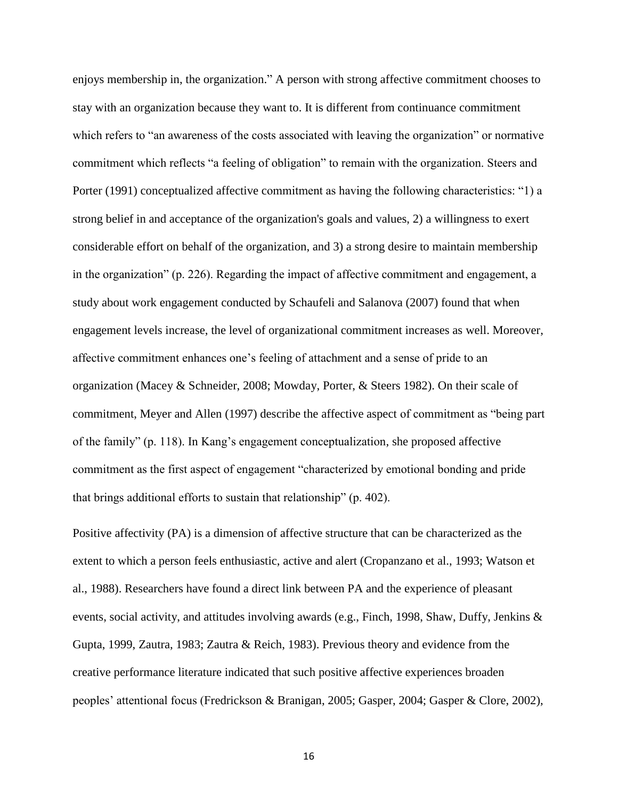enjoys membership in, the organization." A person with strong affective commitment chooses to stay with an organization because they want to. It is different from continuance commitment which refers to "an awareness of the costs associated with leaving the organization" or normative commitment which reflects "a feeling of obligation" to remain with the organization. Steers and Porter (1991) conceptualized affective commitment as having the following characteristics: "1) a strong belief in and acceptance of the organization's goals and values, 2) a willingness to exert considerable effort on behalf of the organization, and 3) a strong desire to maintain membership in the organization" (p. 226). Regarding the impact of affective commitment and engagement, a study about work engagement conducted by Schaufeli and Salanova (2007) found that when engagement levels increase, the level of organizational commitment increases as well. Moreover, affective commitment enhances one's feeling of attachment and a sense of pride to an organization (Macey & Schneider, 2008; Mowday, Porter, & Steers 1982). On their scale of commitment, Meyer and Allen (1997) describe the affective aspect of commitment as "being part of the family" (p. 118). In Kang's engagement conceptualization, she proposed affective commitment as the first aspect of engagement "characterized by emotional bonding and pride that brings additional efforts to sustain that relationship" (p. 402).

Positive affectivity (PA) is a dimension of affective structure that can be characterized as the extent to which a person feels enthusiastic, active and alert (Cropanzano et al., 1993; Watson et al., 1988). Researchers have found a direct link between PA and the experience of pleasant events, social activity, and attitudes involving awards (e.g., Finch, 1998, Shaw, Duffy, Jenkins & Gupta, 1999, Zautra, 1983; Zautra & Reich, 1983). Previous theory and evidence from the creative performance literature indicated that such positive affective experiences broaden peoples' attentional focus (Fredrickson & Branigan, 2005; Gasper, 2004; Gasper & Clore, 2002),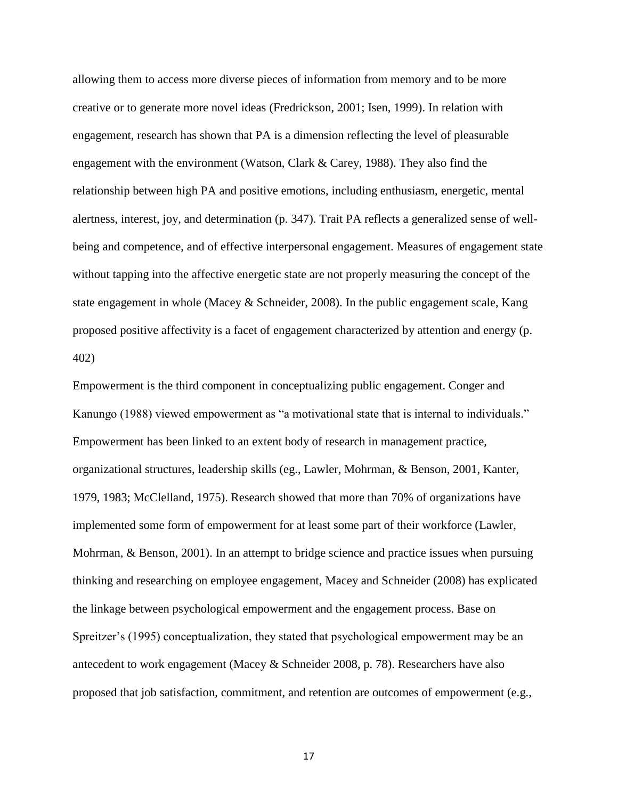allowing them to access more diverse pieces of information from memory and to be more creative or to generate more novel ideas (Fredrickson, 2001; Isen, 1999). In relation with engagement, research has shown that PA is a dimension reflecting the level of pleasurable engagement with the environment (Watson, Clark & Carey, 1988). They also find the relationship between high PA and positive emotions, including enthusiasm, energetic, mental alertness, interest, joy, and determination (p. 347). Trait PA reflects a generalized sense of wellbeing and competence, and of effective interpersonal engagement. Measures of engagement state without tapping into the affective energetic state are not properly measuring the concept of the state engagement in whole (Macey & Schneider, 2008). In the public engagement scale, Kang proposed positive affectivity is a facet of engagement characterized by attention and energy (p. 402)

Empowerment is the third component in conceptualizing public engagement. Conger and Kanungo (1988) viewed empowerment as "a motivational state that is internal to individuals." Empowerment has been linked to an extent body of research in management practice, organizational structures, leadership skills (eg., Lawler, Mohrman, & Benson, 2001, Kanter, 1979, 1983; McClelland, 1975). Research showed that more than 70% of organizations have implemented some form of empowerment for at least some part of their workforce (Lawler, Mohrman, & Benson, 2001). In an attempt to bridge science and practice issues when pursuing thinking and researching on employee engagement, Macey and Schneider (2008) has explicated the linkage between psychological empowerment and the engagement process. Base on Spreitzer's (1995) conceptualization, they stated that psychological empowerment may be an antecedent to work engagement (Macey & Schneider 2008, p. 78). Researchers have also proposed that job satisfaction, commitment, and retention are outcomes of empowerment (e.g.,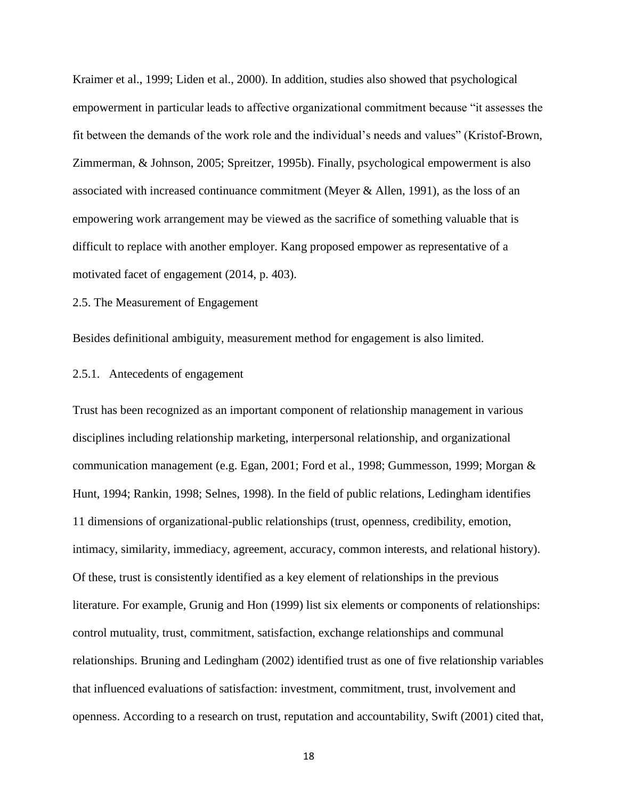Kraimer et al., 1999; Liden et al., 2000). In addition, studies also showed that psychological empowerment in particular leads to affective organizational commitment because "it assesses the fit between the demands of the work role and the individual's needs and values" (Kristof-Brown, Zimmerman, & Johnson, 2005; Spreitzer, 1995b). Finally, psychological empowerment is also associated with increased continuance commitment (Meyer & Allen, 1991), as the loss of an empowering work arrangement may be viewed as the sacrifice of something valuable that is difficult to replace with another employer. Kang proposed empower as representative of a motivated facet of engagement (2014, p. 403).

#### 2.5. The Measurement of Engagement

Besides definitional ambiguity, measurement method for engagement is also limited.

#### 2.5.1. Antecedents of engagement

Trust has been recognized as an important component of relationship management in various disciplines including relationship marketing, interpersonal relationship, and organizational communication management (e.g. Egan, 2001; Ford et al., 1998; Gummesson, 1999; Morgan & Hunt, 1994; Rankin, 1998; Selnes, 1998). In the field of public relations, Ledingham identifies 11 dimensions of organizational-public relationships (trust, openness, credibility, emotion, intimacy, similarity, immediacy, agreement, accuracy, common interests, and relational history). Of these, trust is consistently identified as a key element of relationships in the previous literature. For example, Grunig and Hon (1999) list six elements or components of relationships: control mutuality, trust, commitment, satisfaction, exchange relationships and communal relationships. Bruning and Ledingham (2002) identified trust as one of five relationship variables that influenced evaluations of satisfaction: investment, commitment, trust, involvement and openness. According to a research on trust, reputation and accountability, Swift (2001) cited that,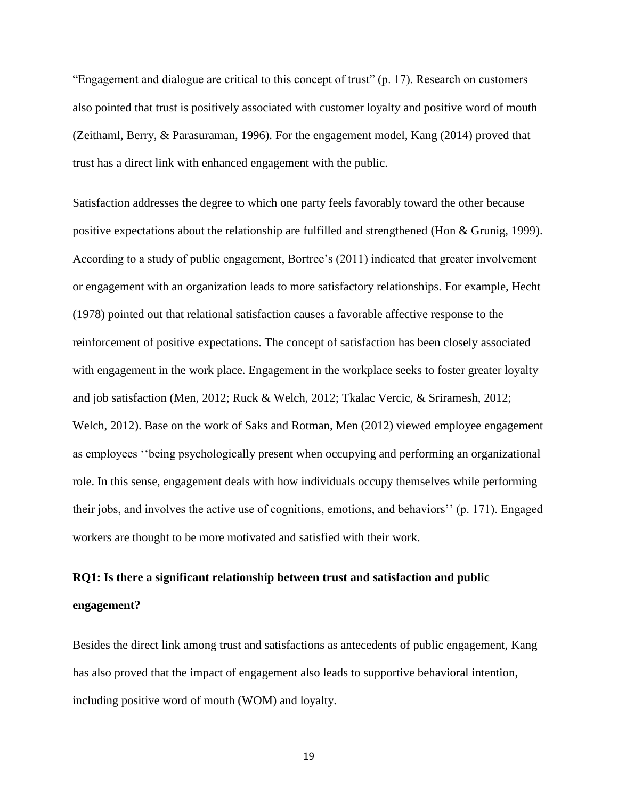"Engagement and dialogue are critical to this concept of trust" (p. 17). Research on customers also pointed that trust is positively associated with customer loyalty and positive word of mouth (Zeithaml, Berry, & Parasuraman, 1996). For the engagement model, Kang (2014) proved that trust has a direct link with enhanced engagement with the public.

Satisfaction addresses the degree to which one party feels favorably toward the other because positive expectations about the relationship are fulfilled and strengthened (Hon & Grunig, 1999). According to a study of public engagement, Bortree's (2011) indicated that greater involvement or engagement with an organization leads to more satisfactory relationships. For example, Hecht (1978) pointed out that relational satisfaction causes a favorable affective response to the reinforcement of positive expectations. The concept of satisfaction has been closely associated with engagement in the work place. Engagement in the workplace seeks to foster greater loyalty and job satisfaction (Men, 2012; Ruck & Welch, 2012; Tkalac Vercic, & Sriramesh, 2012; Welch, 2012). Base on the work of Saks and Rotman, Men (2012) viewed employee engagement as employees ''being psychologically present when occupying and performing an organizational role. In this sense, engagement deals with how individuals occupy themselves while performing their jobs, and involves the active use of cognitions, emotions, and behaviors'' (p. 171). Engaged workers are thought to be more motivated and satisfied with their work.

# **RQ1: Is there a significant relationship between trust and satisfaction and public engagement?**

Besides the direct link among trust and satisfactions as antecedents of public engagement, Kang has also proved that the impact of engagement also leads to supportive behavioral intention, including positive word of mouth (WOM) and loyalty.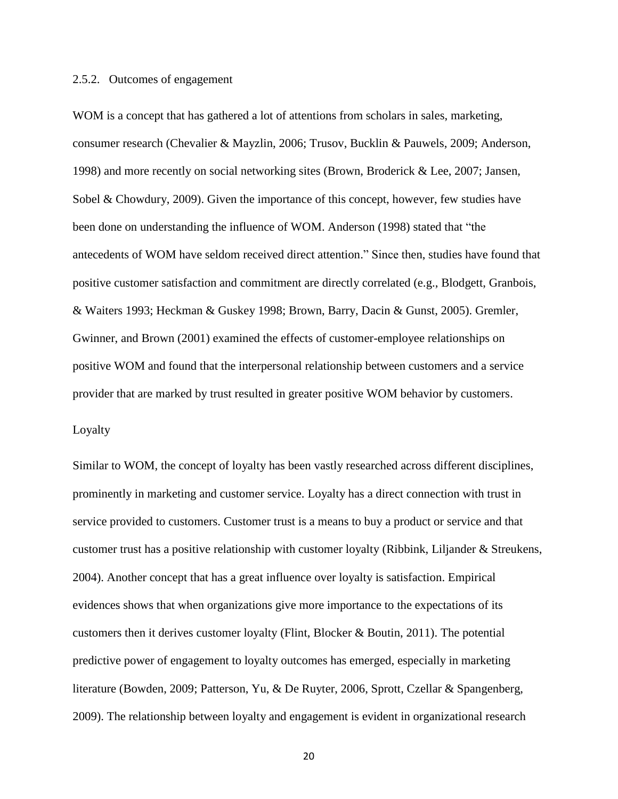#### 2.5.2. Outcomes of engagement

WOM is a concept that has gathered a lot of attentions from scholars in sales, marketing, consumer research (Chevalier & Mayzlin, 2006; Trusov, Bucklin & Pauwels, 2009; Anderson, 1998) and more recently on social networking sites (Brown, Broderick & Lee, 2007; Jansen, Sobel & Chowdury, 2009). Given the importance of this concept, however, few studies have been done on understanding the influence of WOM. Anderson (1998) stated that "the antecedents of WOM have seldom received direct attention." Since then, studies have found that positive customer satisfaction and commitment are directly correlated (e.g., Blodgett, Granbois, & Waiters 1993; Heckman & Guskey 1998; Brown, Barry, Dacin & Gunst, 2005). Gremler, Gwinner, and Brown (2001) examined the effects of customer-employee relationships on positive WOM and found that the interpersonal relationship between customers and a service provider that are marked by trust resulted in greater positive WOM behavior by customers.

#### Loyalty

Similar to WOM, the concept of loyalty has been vastly researched across different disciplines, prominently in marketing and customer service. Loyalty has a direct connection with trust in service provided to customers. Customer trust is a means to buy a product or service and that customer trust has a positive relationship with customer loyalty (Ribbink, Liljander & Streukens, 2004). Another concept that has a great influence over loyalty is satisfaction. Empirical evidences shows that when organizations give more importance to the expectations of its customers then it derives customer loyalty (Flint, Blocker & Boutin, 2011). The potential predictive power of engagement to loyalty outcomes has emerged, especially in marketing literature (Bowden, 2009; Patterson, Yu, & De Ruyter, 2006, Sprott, Czellar & Spangenberg, 2009). The relationship between loyalty and engagement is evident in organizational research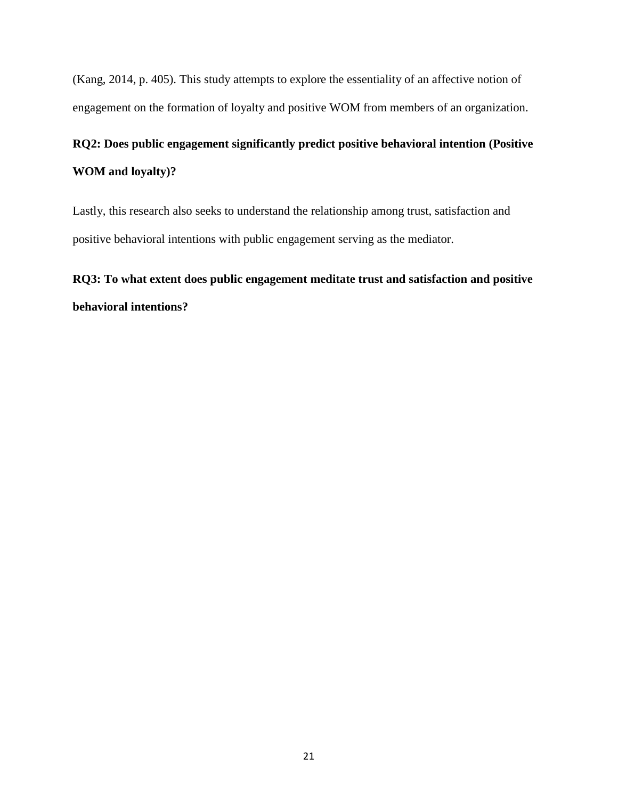(Kang, 2014, p. 405). This study attempts to explore the essentiality of an affective notion of engagement on the formation of loyalty and positive WOM from members of an organization.

# **RQ2: Does public engagement significantly predict positive behavioral intention (Positive WOM and loyalty)?**

Lastly, this research also seeks to understand the relationship among trust, satisfaction and positive behavioral intentions with public engagement serving as the mediator.

# **RQ3: To what extent does public engagement meditate trust and satisfaction and positive behavioral intentions?**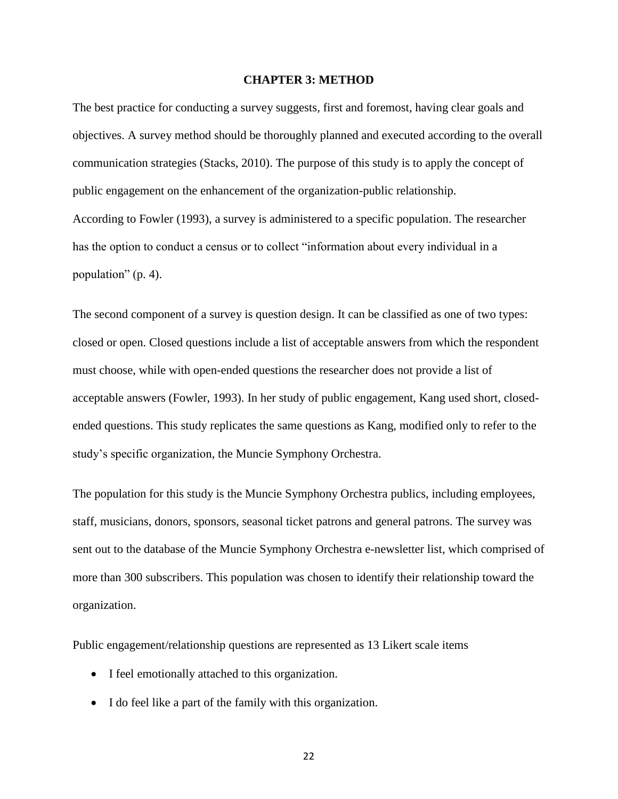#### **CHAPTER 3: METHOD**

The best practice for conducting a survey suggests, first and foremost, having clear goals and objectives. A survey method should be thoroughly planned and executed according to the overall communication strategies (Stacks, 2010). The purpose of this study is to apply the concept of public engagement on the enhancement of the organization-public relationship. According to Fowler (1993), a survey is administered to a specific population. The researcher has the option to conduct a census or to collect "information about every individual in a population" (p. 4).

The second component of a survey is question design. It can be classified as one of two types: closed or open. Closed questions include a list of acceptable answers from which the respondent must choose, while with open-ended questions the researcher does not provide a list of acceptable answers (Fowler, 1993). In her study of public engagement, Kang used short, closedended questions. This study replicates the same questions as Kang, modified only to refer to the study's specific organization, the Muncie Symphony Orchestra.

The population for this study is the Muncie Symphony Orchestra publics, including employees, staff, musicians, donors, sponsors, seasonal ticket patrons and general patrons. The survey was sent out to the database of the Muncie Symphony Orchestra e-newsletter list, which comprised of more than 300 subscribers. This population was chosen to identify their relationship toward the organization.

Public engagement/relationship questions are represented as 13 Likert scale items

- I feel emotionally attached to this organization.
- I do feel like a part of the family with this organization.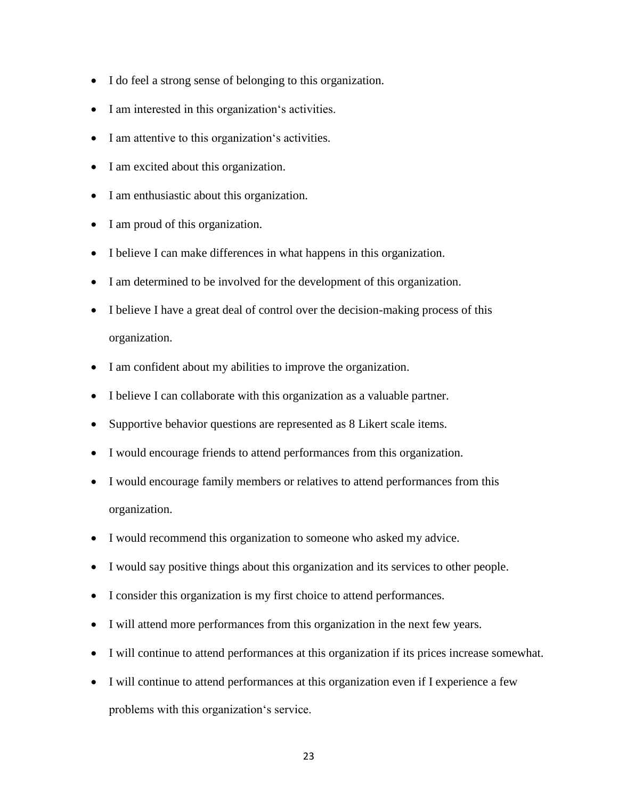- I do feel a strong sense of belonging to this organization.
- I am interested in this organization's activities.
- I am attentive to this organization's activities.
- I am excited about this organization.
- I am enthusiastic about this organization.
- I am proud of this organization.
- I believe I can make differences in what happens in this organization.
- I am determined to be involved for the development of this organization.
- I believe I have a great deal of control over the decision-making process of this organization.
- I am confident about my abilities to improve the organization.
- I believe I can collaborate with this organization as a valuable partner.
- Supportive behavior questions are represented as 8 Likert scale items.
- I would encourage friends to attend performances from this organization.
- I would encourage family members or relatives to attend performances from this organization.
- I would recommend this organization to someone who asked my advice.
- I would say positive things about this organization and its services to other people.
- I consider this organization is my first choice to attend performances.
- I will attend more performances from this organization in the next few years.
- I will continue to attend performances at this organization if its prices increase somewhat.
- I will continue to attend performances at this organization even if I experience a few problems with this organization's service.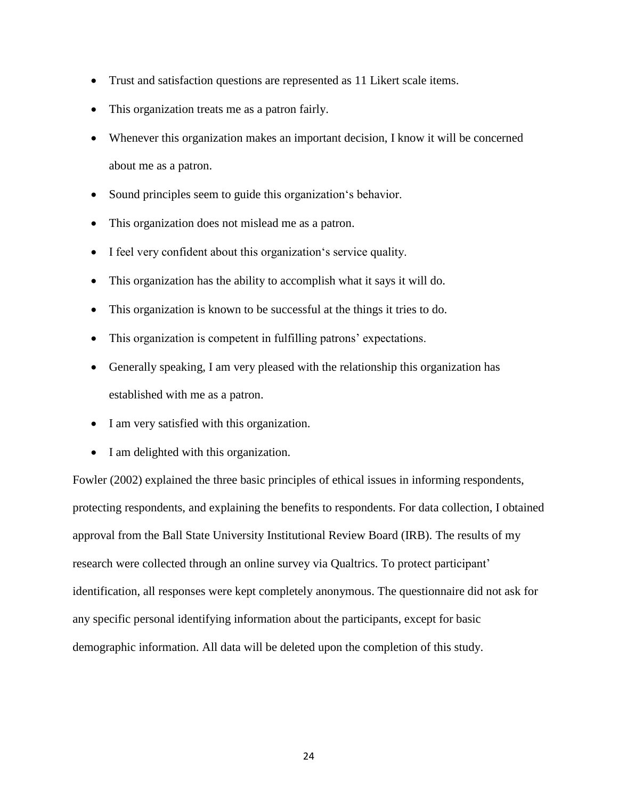- Trust and satisfaction questions are represented as 11 Likert scale items.
- This organization treats me as a patron fairly.
- Whenever this organization makes an important decision, I know it will be concerned about me as a patron.
- Sound principles seem to guide this organization's behavior.
- This organization does not mislead me as a patron.
- I feel very confident about this organization's service quality.
- This organization has the ability to accomplish what it says it will do.
- This organization is known to be successful at the things it tries to do.
- This organization is competent in fulfilling patrons' expectations.
- Generally speaking, I am very pleased with the relationship this organization has established with me as a patron.
- I am very satisfied with this organization.
- I am delighted with this organization.

Fowler (2002) explained the three basic principles of ethical issues in informing respondents, protecting respondents, and explaining the benefits to respondents. For data collection, I obtained approval from the Ball State University Institutional Review Board (IRB). The results of my research were collected through an online survey via Qualtrics. To protect participant' identification, all responses were kept completely anonymous. The questionnaire did not ask for any specific personal identifying information about the participants, except for basic demographic information. All data will be deleted upon the completion of this study.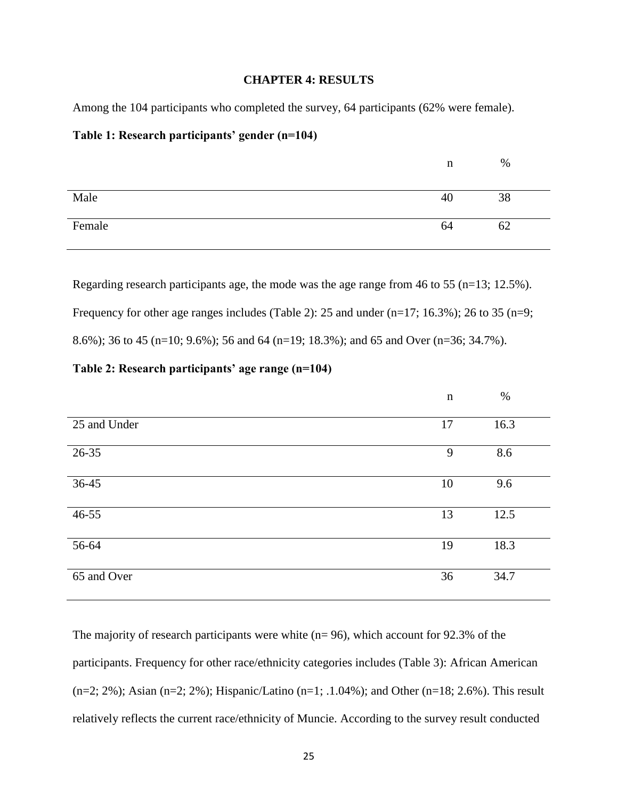#### **CHAPTER 4: RESULTS**

Among the 104 participants who completed the survey, 64 participants (62% were female).

#### **Table 1: Research participants' gender (n=104)**

|        | n  | %  |  |
|--------|----|----|--|
|        |    |    |  |
| Male   | 40 | 38 |  |
|        |    |    |  |
| Female | 64 | 62 |  |
|        |    |    |  |

Regarding research participants age, the mode was the age range from 46 to 55 (n=13; 12.5%). Frequency for other age ranges includes (Table 2): 25 and under (n=17; 16.3%); 26 to 35 (n=9; 8.6%); 36 to 45 (n=10; 9.6%); 56 and 64 (n=19; 18.3%); and 65 and Over (n=36; 34.7%).

## **Table 2: Research participants' age range (n=104)**

|              | $\mathbf n$ | $\%$ |
|--------------|-------------|------|
| 25 and Under | 17          | 16.3 |
| 26-35        | 9           | 8.6  |
| 36-45        | 10          | 9.6  |
| 46-55        | 13          | 12.5 |
| 56-64        | 19          | 18.3 |
| 65 and Over  | 36          | 34.7 |

The majority of research participants were white  $(n=96)$ , which account for 92.3% of the participants. Frequency for other race/ethnicity categories includes (Table 3): African American  $(n=2; 2\%)$ ; Asian  $(n=2; 2\%)$ ; Hispanic/Latino  $(n=1; .1.04\%)$ ; and Other  $(n=18; 2.6\%)$ . This result relatively reflects the current race/ethnicity of Muncie. According to the survey result conducted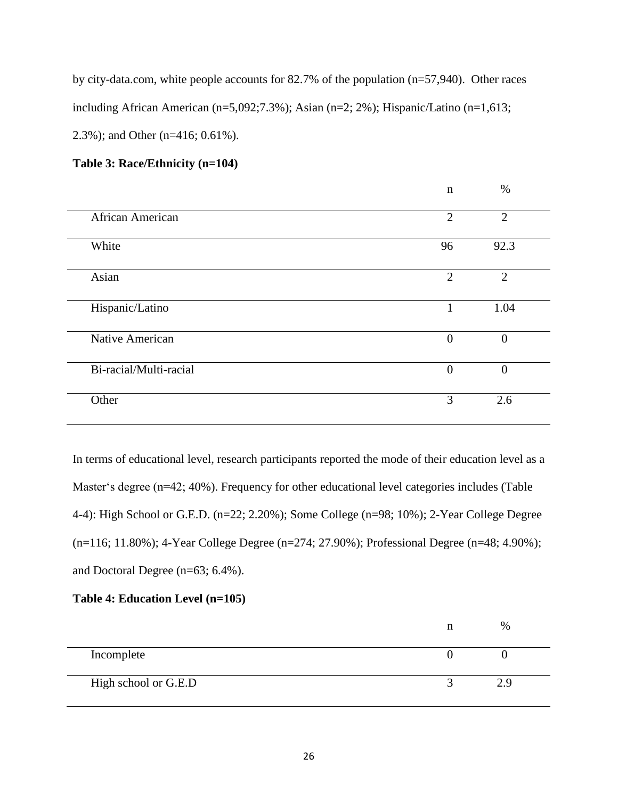by city-data.com, white people accounts for 82.7% of the population (n=57,940). Other races including African American (n=5,092;7.3%); Asian (n=2; 2%); Hispanic/Latino (n=1,613; 2.3%); and Other (n=416; 0.61%).

## **Table 3: Race/Ethnicity (n=104)**

|                        | $\mathbf n$    | $\%$           |
|------------------------|----------------|----------------|
| African American       | $\overline{2}$ | $\overline{2}$ |
| White                  | 96             | 92.3           |
| Asian                  | $\overline{2}$ | $\overline{2}$ |
| Hispanic/Latino        | $\mathbf{1}$   | 1.04           |
| Native American        | $\overline{0}$ | $\overline{0}$ |
| Bi-racial/Multi-racial | $\mathbf{0}$   | $\theta$       |
| Other                  | 3              | 2.6            |

In terms of educational level, research participants reported the mode of their education level as a Master's degree (n=42; 40%). Frequency for other educational level categories includes (Table 4-4): High School or G.E.D. (n=22; 2.20%); Some College (n=98; 10%); 2-Year College Degree (n=116; 11.80%); 4-Year College Degree (n=274; 27.90%); Professional Degree (n=48; 4.90%); and Doctoral Degree (n=63; 6.4%).

### **Table 4: Education Level (n=105)**

|                      | % |
|----------------------|---|
| Incomplete           |   |
| High school or G.E.D |   |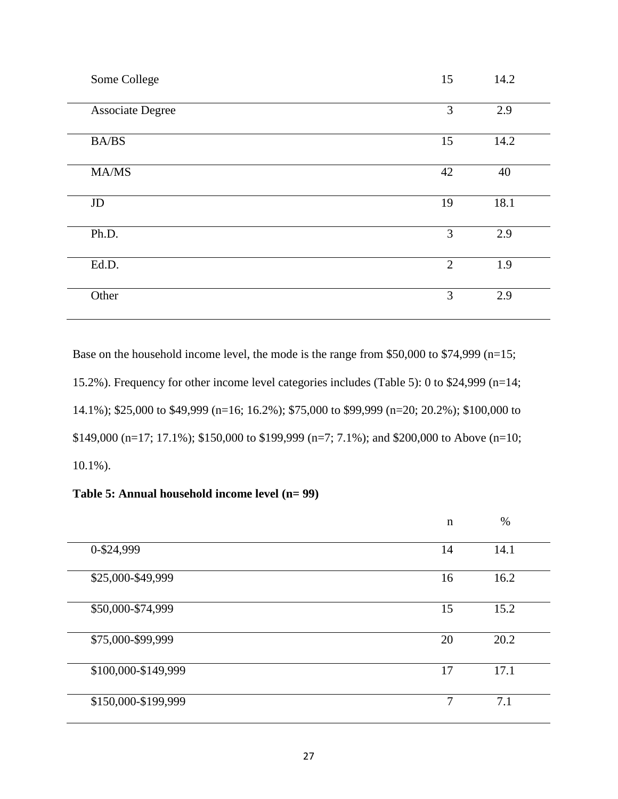| Some College            | 15             | 14.2 |
|-------------------------|----------------|------|
| <b>Associate Degree</b> | 3              | 2.9  |
| <b>BA/BS</b>            | 15             | 14.2 |
| MA/MS                   | 42             | 40   |
| $\rm JD$                | 19             | 18.1 |
| Ph.D.                   | $\overline{3}$ | 2.9  |
| Ed.D.                   | 2              | 1.9  |
| Other                   | 3              | 2.9  |

Base on the household income level, the mode is the range from \$50,000 to \$74,999 (n=15; 15.2%). Frequency for other income level categories includes (Table 5): 0 to \$24,999 (n=14; 14.1%); \$25,000 to \$49,999 (n=16; 16.2%); \$75,000 to \$99,999 (n=20; 20.2%); \$100,000 to \$149,000 (n=17; 17.1%); \$150,000 to \$199,999 (n=7; 7.1%); and \$200,000 to Above (n=10; 10.1%).

**Table 5: Annual household income level (n= 99)**

|                     | $\mathbf n$ | $\%$ |
|---------------------|-------------|------|
| 0-\$24,999          | 14          | 14.1 |
| \$25,000-\$49,999   | 16          | 16.2 |
| \$50,000-\$74,999   | 15          | 15.2 |
| \$75,000-\$99,999   | 20          | 20.2 |
| \$100,000-\$149,999 | 17          | 17.1 |
| \$150,000-\$199,999 | $\tau$      | 7.1  |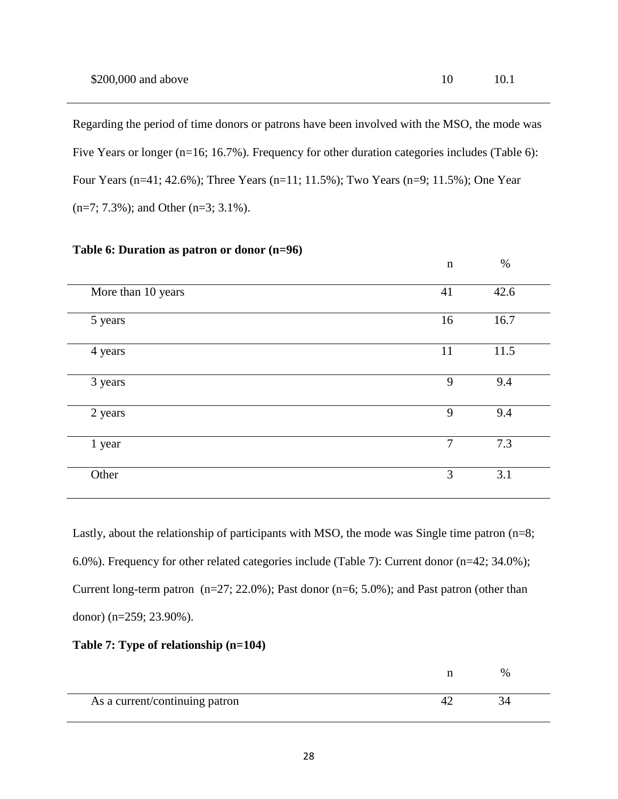Regarding the period of time donors or patrons have been involved with the MSO, the mode was Five Years or longer (n=16; 16.7%). Frequency for other duration categories includes (Table 6): Four Years (n=41; 42.6%); Three Years (n=11; 11.5%); Two Years (n=9; 11.5%); One Year (n=7; 7.3%); and Other (n=3; 3.1%).

|                    | $\mathbf n$    | $\%$ |  |
|--------------------|----------------|------|--|
| More than 10 years | 41             | 42.6 |  |
| 5 years            | 16             | 16.7 |  |
| 4 years            | 11             | 11.5 |  |
| 3 years            | 9              | 9.4  |  |
| 2 years            | 9              | 9.4  |  |
| 1 year             | $\overline{7}$ | 7.3  |  |
| Other              | 3              | 3.1  |  |

#### **Table 6: Duration as patron or donor (n=96)**

Lastly, about the relationship of participants with MSO, the mode was Single time patron (n=8; 6.0%). Frequency for other related categories include (Table 7): Current donor (n=42; 34.0%); Current long-term patron  $(n=27; 22.0\%)$ ; Past donor  $(n=6; 5.0\%)$ ; and Past patron (other than donor) (n=259; 23.90%).

## **Table 7: Type of relationship (n=104)**

|                                | % |
|--------------------------------|---|
| As a current/continuing patron |   |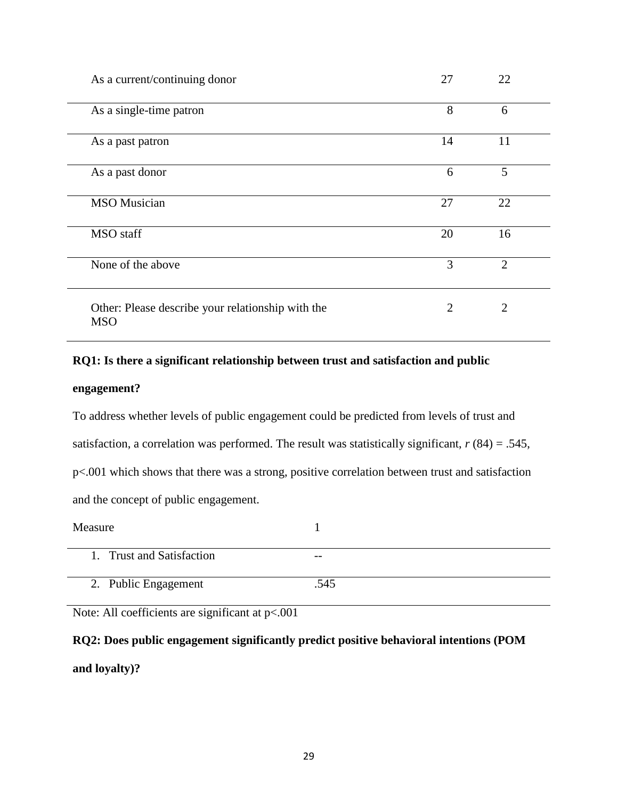| As a current/continuing donor                                   | 27 | 22             |  |
|-----------------------------------------------------------------|----|----------------|--|
| As a single-time patron                                         | 8  | 6              |  |
| As a past patron                                                | 14 | 11             |  |
| As a past donor                                                 | 6  | 5              |  |
| <b>MSO</b> Musician                                             | 27 | 22             |  |
| <b>MSO</b> staff                                                | 20 | 16             |  |
| None of the above                                               | 3  | $\overline{2}$ |  |
| Other: Please describe your relationship with the<br><b>MSO</b> | 2  | $\overline{2}$ |  |

## **RQ1: Is there a significant relationship between trust and satisfaction and public**

#### **engagement?**

To address whether levels of public engagement could be predicted from levels of trust and satisfaction, a correlation was performed. The result was statistically significant, *r* (84) = .545, p<.001 which shows that there was a strong, positive correlation between trust and satisfaction and the concept of public engagement.

| Measure                   |       |
|---------------------------|-------|
| 1. Trust and Satisfaction | $- -$ |
| 2. Public Engagement      | .545  |

Note: All coefficients are significant at p<.001

**RQ2: Does public engagement significantly predict positive behavioral intentions (POM and loyalty)?**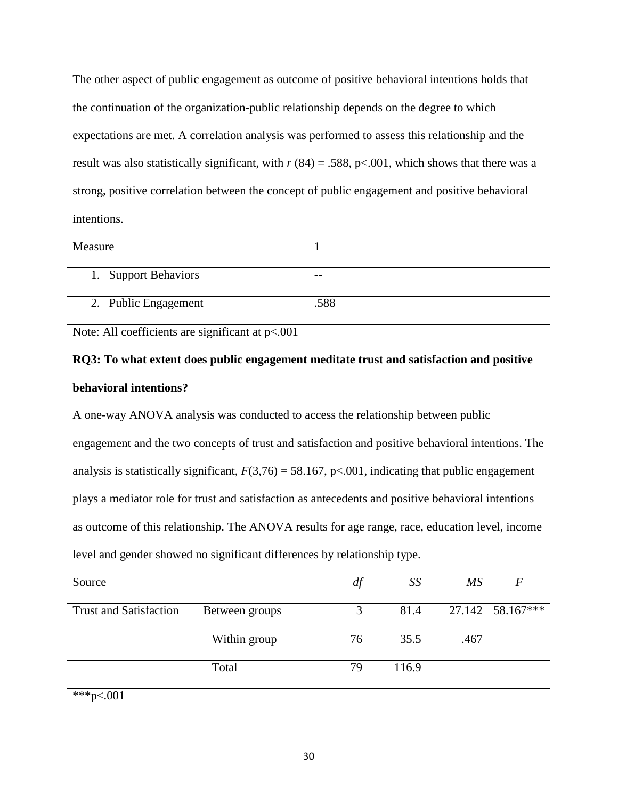The other aspect of public engagement as outcome of positive behavioral intentions holds that the continuation of the organization-public relationship depends on the degree to which expectations are met. A correlation analysis was performed to assess this relationship and the result was also statistically significant, with  $r(84) = .588$ , p<.001, which shows that there was a strong, positive correlation between the concept of public engagement and positive behavioral intentions.

| Measure              |       |
|----------------------|-------|
| 1. Support Behaviors | $- -$ |
| 2. Public Engagement | .588  |

Note: All coefficients are significant at  $p<.001$ 

# **RQ3: To what extent does public engagement meditate trust and satisfaction and positive behavioral intentions?**

A one-way ANOVA analysis was conducted to access the relationship between public engagement and the two concepts of trust and satisfaction and positive behavioral intentions. The analysis is statistically significant,  $F(3,76) = 58.167$ , p<.001, indicating that public engagement plays a mediator role for trust and satisfaction as antecedents and positive behavioral intentions as outcome of this relationship. The ANOVA results for age range, race, education level, income level and gender showed no significant differences by relationship type.

| Source                        |                | df | SS    | MS   | $\sqrt{F}$       |
|-------------------------------|----------------|----|-------|------|------------------|
| <b>Trust and Satisfaction</b> | Between groups | 3  | 81.4  |      | 27.142 58.167*** |
|                               | Within group   | 76 | 35.5  | .467 |                  |
|                               | Total          | 79 | 116.9 |      |                  |

\*\*\*p<.001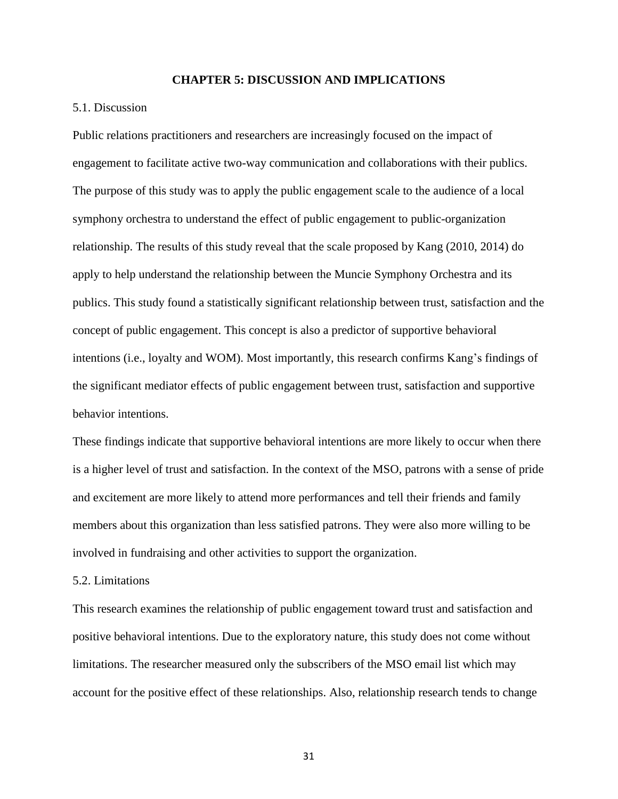#### **CHAPTER 5: DISCUSSION AND IMPLICATIONS**

#### 5.1. Discussion

Public relations practitioners and researchers are increasingly focused on the impact of engagement to facilitate active two-way communication and collaborations with their publics. The purpose of this study was to apply the public engagement scale to the audience of a local symphony orchestra to understand the effect of public engagement to public-organization relationship. The results of this study reveal that the scale proposed by Kang (2010, 2014) do apply to help understand the relationship between the Muncie Symphony Orchestra and its publics. This study found a statistically significant relationship between trust, satisfaction and the concept of public engagement. This concept is also a predictor of supportive behavioral intentions (i.e., loyalty and WOM). Most importantly, this research confirms Kang's findings of the significant mediator effects of public engagement between trust, satisfaction and supportive behavior intentions.

These findings indicate that supportive behavioral intentions are more likely to occur when there is a higher level of trust and satisfaction. In the context of the MSO, patrons with a sense of pride and excitement are more likely to attend more performances and tell their friends and family members about this organization than less satisfied patrons. They were also more willing to be involved in fundraising and other activities to support the organization.

#### 5.2. Limitations

This research examines the relationship of public engagement toward trust and satisfaction and positive behavioral intentions. Due to the exploratory nature, this study does not come without limitations. The researcher measured only the subscribers of the MSO email list which may account for the positive effect of these relationships. Also, relationship research tends to change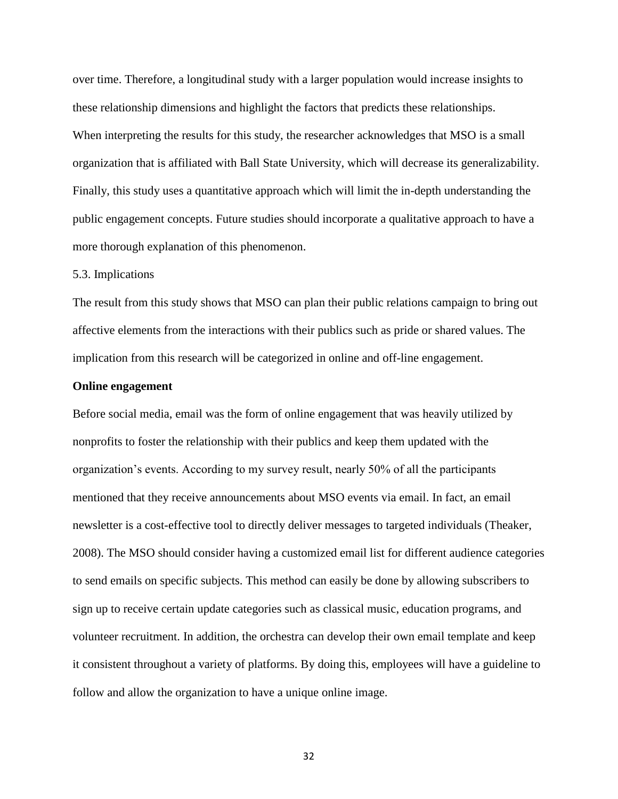over time. Therefore, a longitudinal study with a larger population would increase insights to these relationship dimensions and highlight the factors that predicts these relationships. When interpreting the results for this study, the researcher acknowledges that MSO is a small organization that is affiliated with Ball State University, which will decrease its generalizability. Finally, this study uses a quantitative approach which will limit the in-depth understanding the public engagement concepts. Future studies should incorporate a qualitative approach to have a more thorough explanation of this phenomenon.

#### 5.3. Implications

The result from this study shows that MSO can plan their public relations campaign to bring out affective elements from the interactions with their publics such as pride or shared values. The implication from this research will be categorized in online and off-line engagement.

#### **Online engagement**

Before social media, email was the form of online engagement that was heavily utilized by nonprofits to foster the relationship with their publics and keep them updated with the organization's events. According to my survey result, nearly 50% of all the participants mentioned that they receive announcements about MSO events via email. In fact, an email newsletter is a cost-effective tool to directly deliver messages to targeted individuals (Theaker, 2008). The MSO should consider having a customized email list for different audience categories to send emails on specific subjects. This method can easily be done by allowing subscribers to sign up to receive certain update categories such as classical music, education programs, and volunteer recruitment. In addition, the orchestra can develop their own email template and keep it consistent throughout a variety of platforms. By doing this, employees will have a guideline to follow and allow the organization to have a unique online image.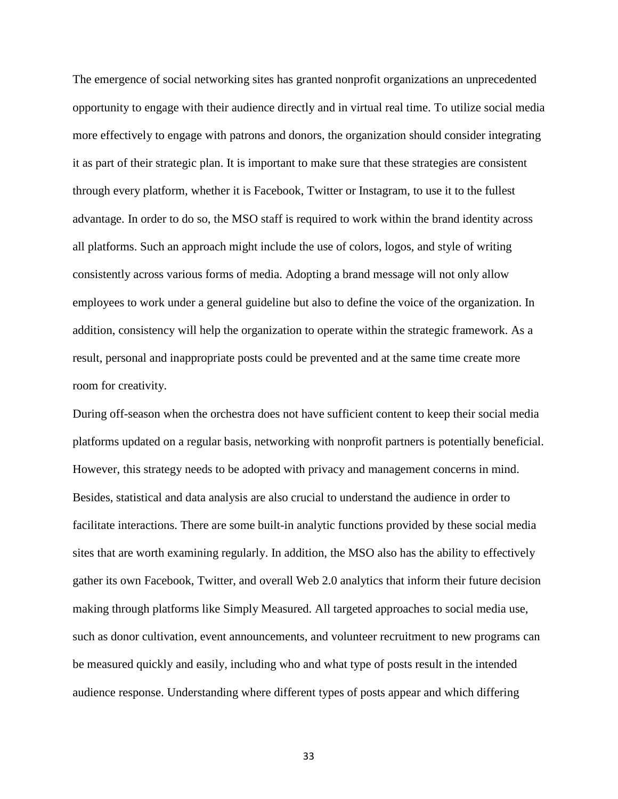The emergence of social networking sites has granted nonprofit organizations an unprecedented opportunity to engage with their audience directly and in virtual real time. To utilize social media more effectively to engage with patrons and donors, the organization should consider integrating it as part of their strategic plan. It is important to make sure that these strategies are consistent through every platform, whether it is Facebook, Twitter or Instagram, to use it to the fullest advantage. In order to do so, the MSO staff is required to work within the brand identity across all platforms. Such an approach might include the use of colors, logos, and style of writing consistently across various forms of media. Adopting a brand message will not only allow employees to work under a general guideline but also to define the voice of the organization. In addition, consistency will help the organization to operate within the strategic framework. As a result, personal and inappropriate posts could be prevented and at the same time create more room for creativity.

During off-season when the orchestra does not have sufficient content to keep their social media platforms updated on a regular basis, networking with nonprofit partners is potentially beneficial. However, this strategy needs to be adopted with privacy and management concerns in mind. Besides, statistical and data analysis are also crucial to understand the audience in order to facilitate interactions. There are some built-in analytic functions provided by these social media sites that are worth examining regularly. In addition, the MSO also has the ability to effectively gather its own Facebook, Twitter, and overall Web 2.0 analytics that inform their future decision making through platforms like Simply Measured. All targeted approaches to social media use, such as donor cultivation, event announcements, and volunteer recruitment to new programs can be measured quickly and easily, including who and what type of posts result in the intended audience response. Understanding where different types of posts appear and which differing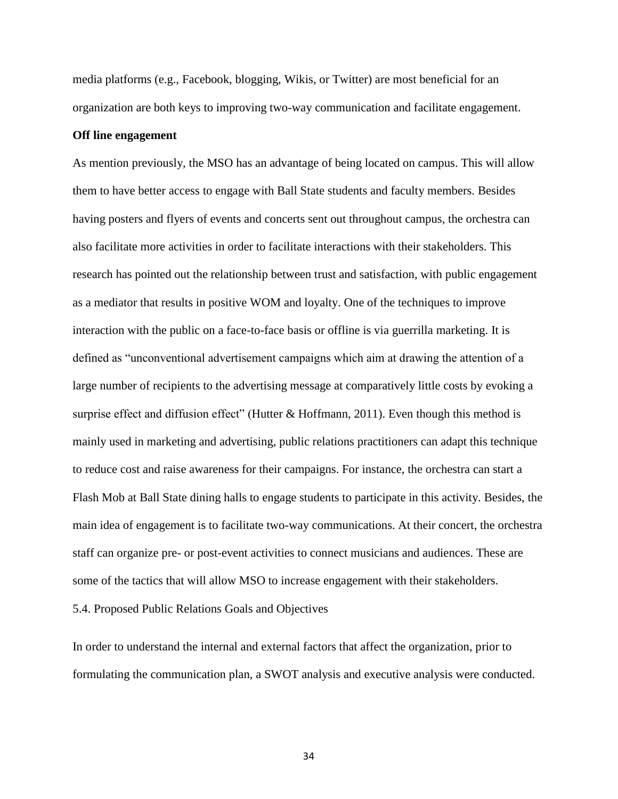media platforms (e.g., Facebook, blogging, Wikis, or Twitter) are most beneficial for an organization are both keys to improving two-way communication and facilitate engagement.

#### **Off line engagement**

As mention previously, the MSO has an advantage of being located on campus. This will allow them to have better access to engage with Ball State students and faculty members. Besides having posters and flyers of events and concerts sent out throughout campus, the orchestra can also facilitate more activities in order to facilitate interactions with their stakeholders. This research has pointed out the relationship between trust and satisfaction, with public engagement as a mediator that results in positive WOM and loyalty. One of the techniques to improve interaction with the public on a face-to-face basis or offline is via guerrilla marketing. It is defined as "unconventional advertisement campaigns which aim at drawing the attention of a large number of recipients to the advertising message at comparatively little costs by evoking a surprise effect and diffusion effect" (Hutter & Hoffmann, 2011). Even though this method is mainly used in marketing and advertising, public relations practitioners can adapt this technique to reduce cost and raise awareness for their campaigns. For instance, the orchestra can start a Flash Mob at Ball State dining halls to engage students to participate in this activity. Besides, the main idea of engagement is to facilitate two-way communications. At their concert, the orchestra staff can organize pre- or post-event activities to connect musicians and audiences. These are some of the tactics that will allow MSO to increase engagement with their stakeholders.

5.4. Proposed Public Relations Goals and Objectives

In order to understand the internal and external factors that affect the organization, prior to formulating the communication plan, a SWOT analysis and executive analysis were conducted.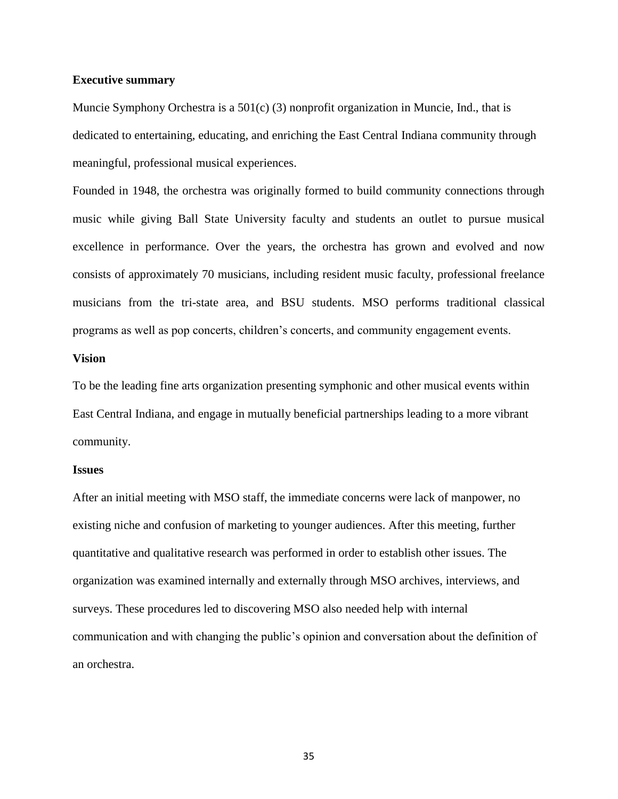#### **Executive summary**

Muncie Symphony Orchestra is a 501(c) (3) nonprofit organization in Muncie, Ind., that is dedicated to entertaining, educating, and enriching the East Central Indiana community through meaningful, professional musical experiences.

Founded in 1948, the orchestra was originally formed to build community connections through music while giving Ball State University faculty and students an outlet to pursue musical excellence in performance. Over the years, the orchestra has grown and evolved and now consists of approximately 70 musicians, including resident music faculty, professional freelance musicians from the tri-state area, and BSU students. MSO performs traditional classical programs as well as pop concerts, children's concerts, and community engagement events.

#### **Vision**

To be the leading fine arts organization presenting symphonic and other musical events within East Central Indiana, and engage in mutually beneficial partnerships leading to a more vibrant community.

#### **Issues**

After an initial meeting with MSO staff, the immediate concerns were lack of manpower, no existing niche and confusion of marketing to younger audiences. After this meeting, further quantitative and qualitative research was performed in order to establish other issues. The organization was examined internally and externally through MSO archives, interviews, and surveys. These procedures led to discovering MSO also needed help with internal communication and with changing the public's opinion and conversation about the definition of an orchestra.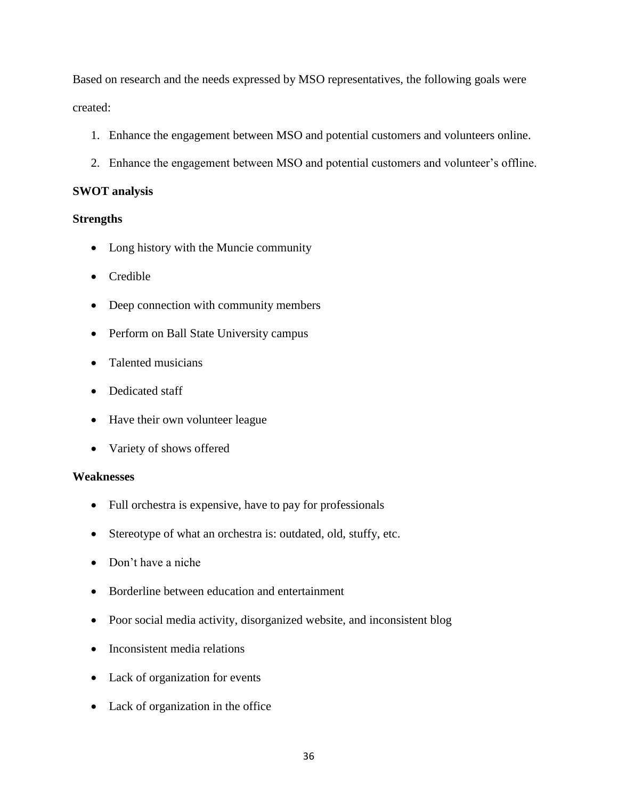Based on research and the needs expressed by MSO representatives, the following goals were created:

- 1. Enhance the engagement between MSO and potential customers and volunteers online.
- 2. Enhance the engagement between MSO and potential customers and volunteer's offline.

## **SWOT analysis**

## **Strengths**

- Long history with the Muncie community
- Credible
- Deep connection with community members
- Perform on Ball State University campus
- Talented musicians
- Dedicated staff
- Have their own volunteer league
- Variety of shows offered

### **Weaknesses**

- Full orchestra is expensive, have to pay for professionals
- Stereotype of what an orchestra is: outdated, old, stuffy, etc.
- Don't have a niche
- Borderline between education and entertainment
- Poor social media activity, disorganized website, and inconsistent blog
- Inconsistent media relations
- Lack of organization for events
- Lack of organization in the office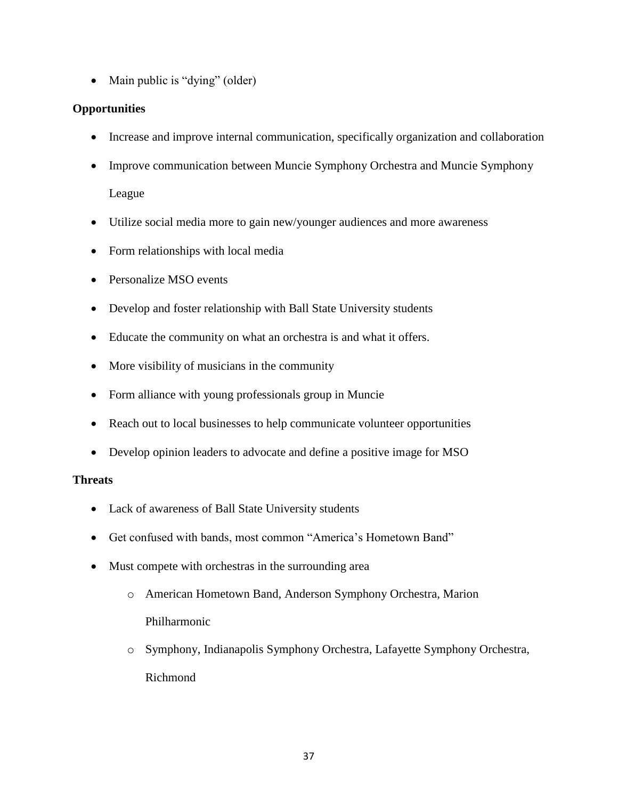• Main public is "dying" (older)

## **Opportunities**

- Increase and improve internal communication, specifically organization and collaboration
- Improve communication between Muncie Symphony Orchestra and Muncie Symphony League
- Utilize social media more to gain new/younger audiences and more awareness
- Form relationships with local media
- Personalize MSO events
- Develop and foster relationship with Ball State University students
- Educate the community on what an orchestra is and what it offers.
- More visibility of musicians in the community
- Form alliance with young professionals group in Muncie
- Reach out to local businesses to help communicate volunteer opportunities
- Develop opinion leaders to advocate and define a positive image for MSO

## **Threats**

- Lack of awareness of Ball State University students
- Get confused with bands, most common "America's Hometown Band"
- Must compete with orchestras in the surrounding area
	- o American Hometown Band, Anderson Symphony Orchestra, Marion Philharmonic
	- o Symphony, Indianapolis Symphony Orchestra, Lafayette Symphony Orchestra, Richmond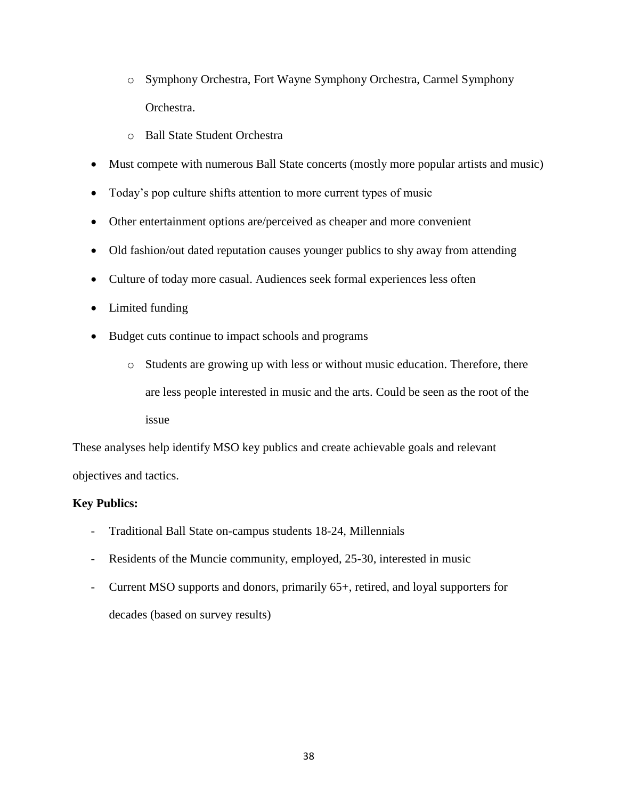- o Symphony Orchestra, Fort Wayne Symphony Orchestra, Carmel Symphony Orchestra.
- o Ball State Student Orchestra
- Must compete with numerous Ball State concerts (mostly more popular artists and music)
- Today's pop culture shifts attention to more current types of music
- Other entertainment options are/perceived as cheaper and more convenient
- Old fashion/out dated reputation causes younger publics to shy away from attending
- Culture of today more casual. Audiences seek formal experiences less often
- Limited funding
- Budget cuts continue to impact schools and programs
	- o Students are growing up with less or without music education. Therefore, there are less people interested in music and the arts. Could be seen as the root of the issue

These analyses help identify MSO key publics and create achievable goals and relevant objectives and tactics.

## **Key Publics:**

- Traditional Ball State on-campus students 18-24, Millennials
- Residents of the Muncie community, employed, 25-30, interested in music
- Current MSO supports and donors, primarily 65+, retired, and loyal supporters for decades (based on survey results)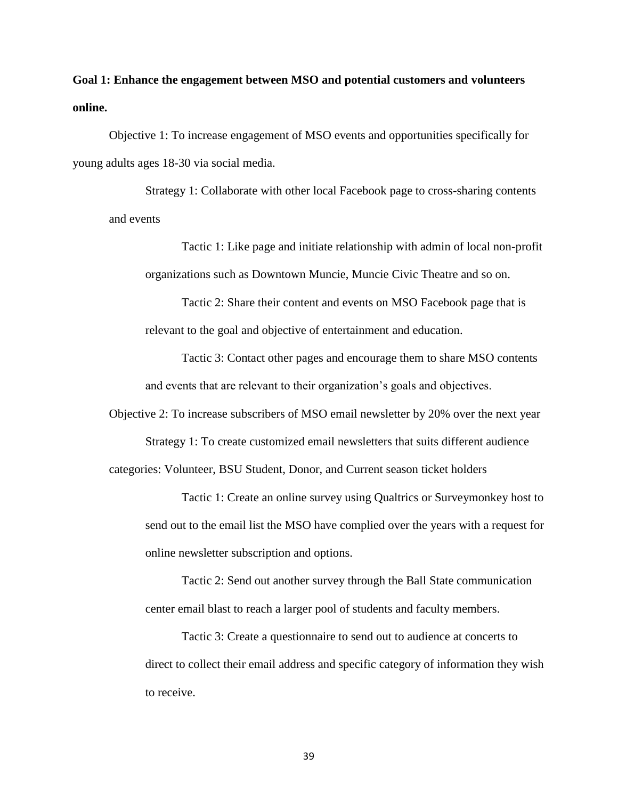**Goal 1: Enhance the engagement between MSO and potential customers and volunteers online.**

Objective 1: To increase engagement of MSO events and opportunities specifically for young adults ages 18-30 via social media.

Strategy 1: Collaborate with other local Facebook page to cross-sharing contents and events

> Tactic 1: Like page and initiate relationship with admin of local non-profit organizations such as Downtown Muncie, Muncie Civic Theatre and so on.

Tactic 2: Share their content and events on MSO Facebook page that is relevant to the goal and objective of entertainment and education.

Tactic 3: Contact other pages and encourage them to share MSO contents and events that are relevant to their organization's goals and objectives.

Objective 2: To increase subscribers of MSO email newsletter by 20% over the next year Strategy 1: To create customized email newsletters that suits different audience categories: Volunteer, BSU Student, Donor, and Current season ticket holders

Tactic 1: Create an online survey using Qualtrics or Surveymonkey host to send out to the email list the MSO have complied over the years with a request for online newsletter subscription and options.

Tactic 2: Send out another survey through the Ball State communication center email blast to reach a larger pool of students and faculty members.

Tactic 3: Create a questionnaire to send out to audience at concerts to direct to collect their email address and specific category of information they wish to receive.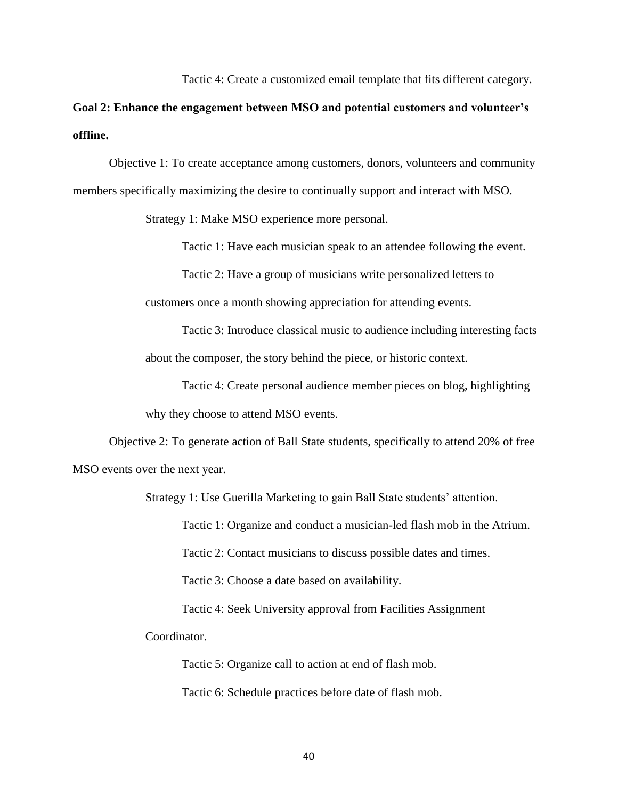Tactic 4: Create a customized email template that fits different category.

# **Goal 2: Enhance the engagement between MSO and potential customers and volunteer's offline.**

Objective 1: To create acceptance among customers, donors, volunteers and community members specifically maximizing the desire to continually support and interact with MSO.

Strategy 1: Make MSO experience more personal.

Tactic 1: Have each musician speak to an attendee following the event.

Tactic 2: Have a group of musicians write personalized letters to

customers once a month showing appreciation for attending events.

Tactic 3: Introduce classical music to audience including interesting facts about the composer, the story behind the piece, or historic context.

Tactic 4: Create personal audience member pieces on blog, highlighting why they choose to attend MSO events.

Objective 2: To generate action of Ball State students, specifically to attend 20% of free MSO events over the next year.

Strategy 1: Use Guerilla Marketing to gain Ball State students' attention.

Tactic 1: Organize and conduct a musician-led flash mob in the Atrium.

Tactic 2: Contact musicians to discuss possible dates and times.

Tactic 3: Choose a date based on availability.

Tactic 4: Seek University approval from Facilities Assignment

Coordinator.

Tactic 5: Organize call to action at end of flash mob.

Tactic 6: Schedule practices before date of flash mob.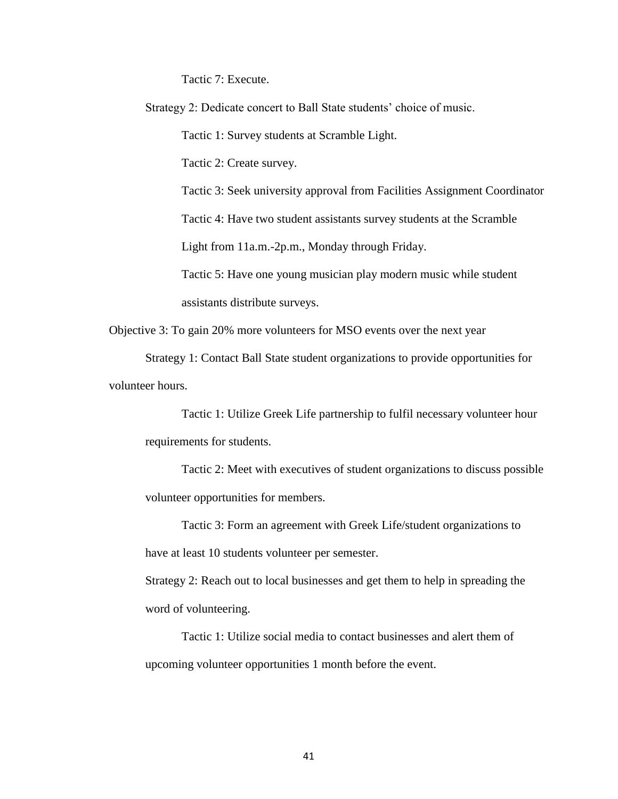Tactic 7: Execute.

Strategy 2: Dedicate concert to Ball State students' choice of music.

Tactic 1: Survey students at Scramble Light.

Tactic 2: Create survey.

Tactic 3: Seek university approval from Facilities Assignment Coordinator

Tactic 4: Have two student assistants survey students at the Scramble

Light from 11a.m.-2p.m., Monday through Friday.

Tactic 5: Have one young musician play modern music while student assistants distribute surveys.

Objective 3: To gain 20% more volunteers for MSO events over the next year

Strategy 1: Contact Ball State student organizations to provide opportunities for volunteer hours.

Tactic 1: Utilize Greek Life partnership to fulfil necessary volunteer hour requirements for students.

Tactic 2: Meet with executives of student organizations to discuss possible volunteer opportunities for members.

Tactic 3: Form an agreement with Greek Life/student organizations to have at least 10 students volunteer per semester.

Strategy 2: Reach out to local businesses and get them to help in spreading the word of volunteering.

Tactic 1: Utilize social media to contact businesses and alert them of upcoming volunteer opportunities 1 month before the event.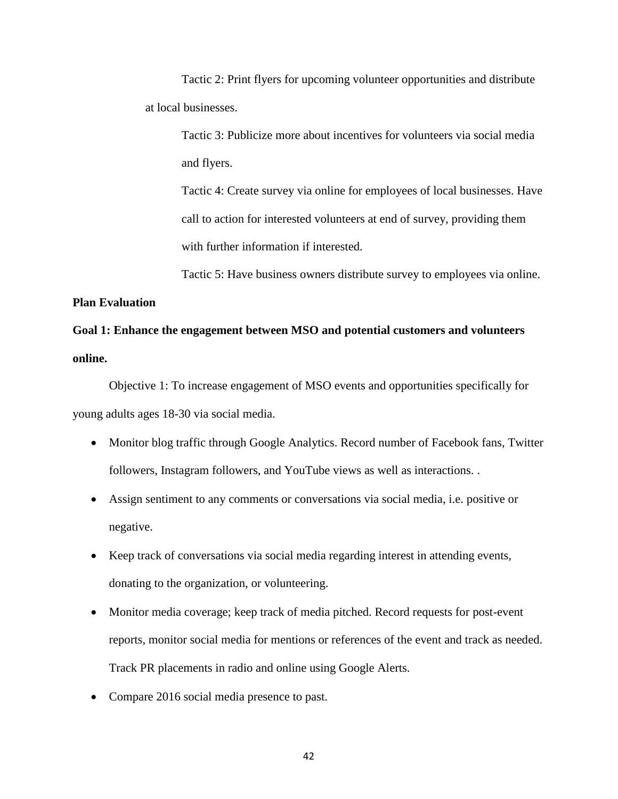Tactic 2: Print flyers for upcoming volunteer opportunities and distribute at local businesses.

Tactic 3: Publicize more about incentives for volunteers via social media and flyers.

Tactic 4: Create survey via online for employees of local businesses. Have call to action for interested volunteers at end of survey, providing them with further information if interested.

Tactic 5: Have business owners distribute survey to employees via online.

**Plan Evaluation**

# **Goal 1: Enhance the engagement between MSO and potential customers and volunteers online.**

Objective 1: To increase engagement of MSO events and opportunities specifically for young adults ages 18-30 via social media.

- Monitor blog traffic through Google Analytics. Record number of Facebook fans, Twitter followers, Instagram followers, and YouTube views as well as interactions. .
- Assign sentiment to any comments or conversations via social media, i.e. positive or negative.
- Keep track of conversations via social media regarding interest in attending events, donating to the organization, or volunteering.
- Monitor media coverage; keep track of media pitched. Record requests for post-event reports, monitor social media for mentions or references of the event and track as needed. Track PR placements in radio and online using Google Alerts.
- Compare 2016 social media presence to past.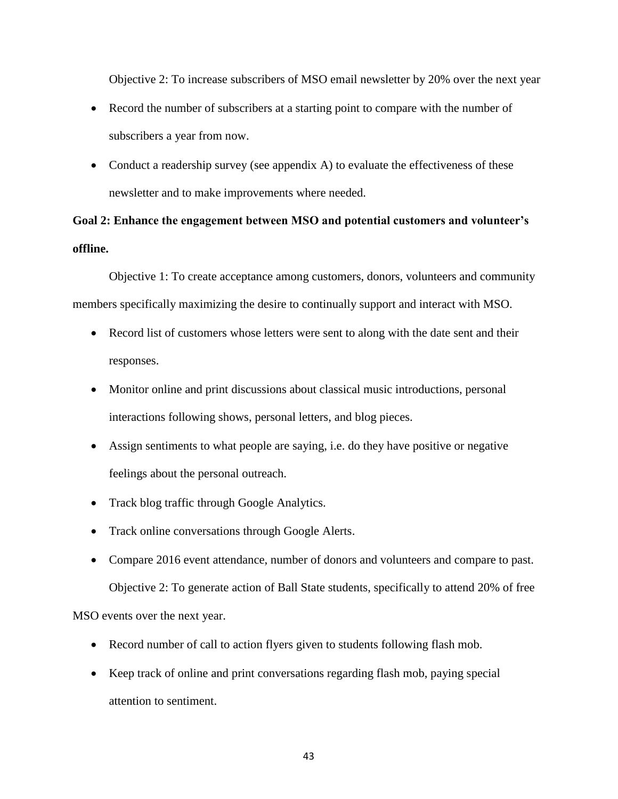Objective 2: To increase subscribers of MSO email newsletter by 20% over the next year

- Record the number of subscribers at a starting point to compare with the number of subscribers a year from now.
- Conduct a readership survey (see appendix A) to evaluate the effectiveness of these newsletter and to make improvements where needed.

# **Goal 2: Enhance the engagement between MSO and potential customers and volunteer's offline.**

Objective 1: To create acceptance among customers, donors, volunteers and community members specifically maximizing the desire to continually support and interact with MSO.

- Record list of customers whose letters were sent to along with the date sent and their responses.
- Monitor online and print discussions about classical music introductions, personal interactions following shows, personal letters, and blog pieces.
- Assign sentiments to what people are saying, i.e. do they have positive or negative feelings about the personal outreach.
- Track blog traffic through Google Analytics.
- Track online conversations through Google Alerts.
- Compare 2016 event attendance, number of donors and volunteers and compare to past. Objective 2: To generate action of Ball State students, specifically to attend 20% of free

MSO events over the next year.

- Record number of call to action flyers given to students following flash mob.
- Keep track of online and print conversations regarding flash mob, paying special attention to sentiment.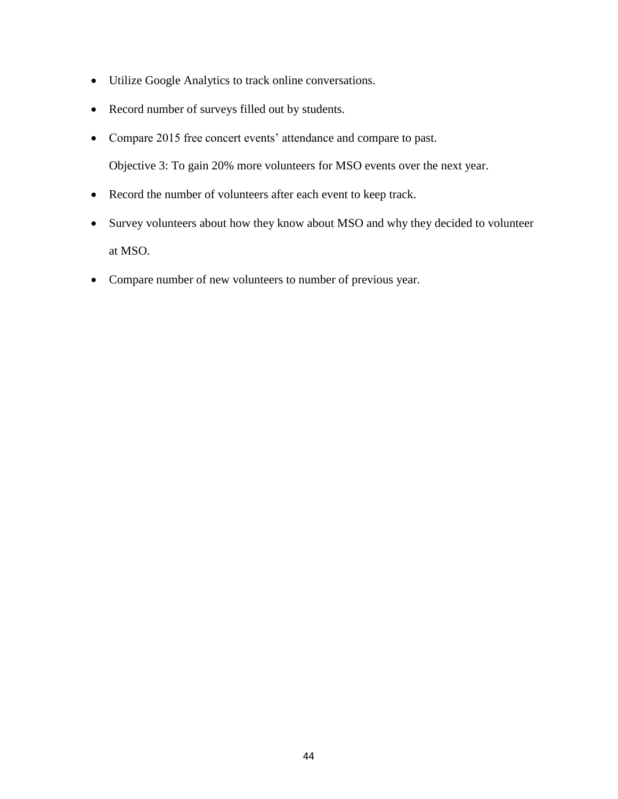- Utilize Google Analytics to track online conversations.
- Record number of surveys filled out by students.
- Compare 2015 free concert events' attendance and compare to past. Objective 3: To gain 20% more volunteers for MSO events over the next year.
- Record the number of volunteers after each event to keep track.
- Survey volunteers about how they know about MSO and why they decided to volunteer at MSO.
- Compare number of new volunteers to number of previous year.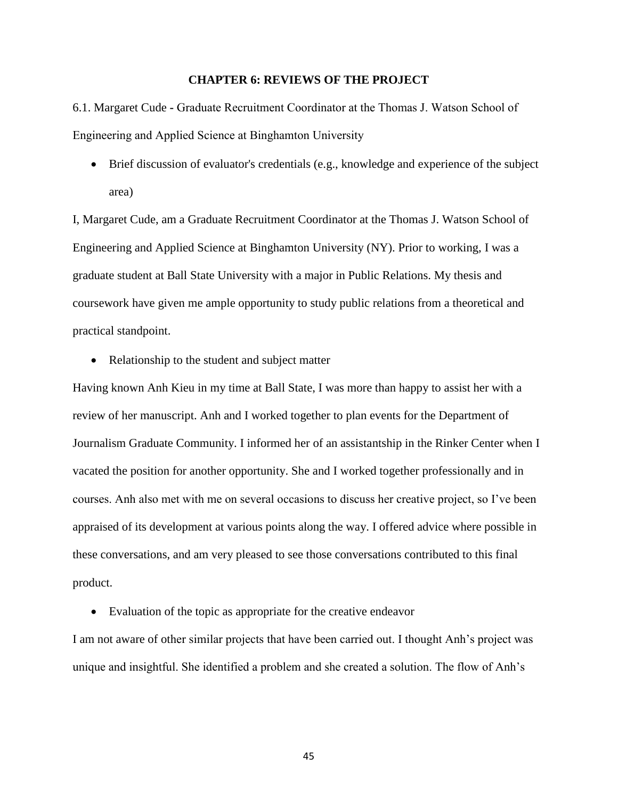#### **CHAPTER 6: REVIEWS OF THE PROJECT**

6.1. Margaret Cude **-** Graduate Recruitment Coordinator at the Thomas J. Watson School of Engineering and Applied Science at Binghamton University

 $\bullet$  Brief discussion of evaluator's credentials (e.g., knowledge and experience of the subject area)

I, Margaret Cude, am a Graduate Recruitment Coordinator at the Thomas J. Watson School of Engineering and Applied Science at Binghamton University (NY). Prior to working, I was a graduate student at Ball State University with a major in Public Relations. My thesis and coursework have given me ample opportunity to study public relations from a theoretical and practical standpoint.

• Relationship to the student and subject matter

Having known Anh Kieu in my time at Ball State, I was more than happy to assist her with a review of her manuscript. Anh and I worked together to plan events for the Department of Journalism Graduate Community. I informed her of an assistantship in the Rinker Center when I vacated the position for another opportunity. She and I worked together professionally and in courses. Anh also met with me on several occasions to discuss her creative project, so I've been appraised of its development at various points along the way. I offered advice where possible in these conversations, and am very pleased to see those conversations contributed to this final product.

Evaluation of the topic as appropriate for the creative endeavor

I am not aware of other similar projects that have been carried out. I thought Anh's project was unique and insightful. She identified a problem and she created a solution. The flow of Anh's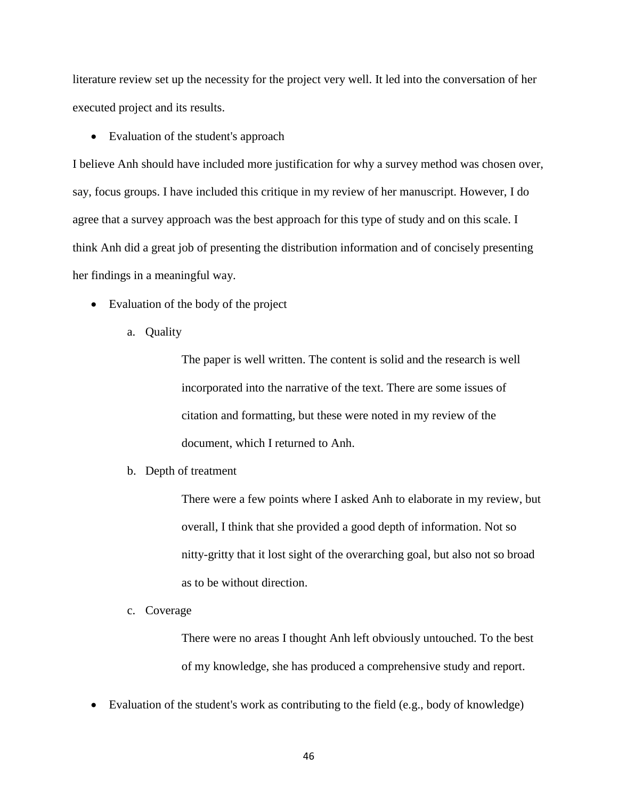literature review set up the necessity for the project very well. It led into the conversation of her executed project and its results.

• Evaluation of the student's approach

I believe Anh should have included more justification for why a survey method was chosen over, say, focus groups. I have included this critique in my review of her manuscript. However, I do agree that a survey approach was the best approach for this type of study and on this scale. I think Anh did a great job of presenting the distribution information and of concisely presenting her findings in a meaningful way.

- Evaluation of the body of the project
	- a. Quality

The paper is well written. The content is solid and the research is well incorporated into the narrative of the text. There are some issues of citation and formatting, but these were noted in my review of the document, which I returned to Anh.

b. Depth of treatment

There were a few points where I asked Anh to elaborate in my review, but overall, I think that she provided a good depth of information. Not so nitty-gritty that it lost sight of the overarching goal, but also not so broad as to be without direction.

c. Coverage

There were no areas I thought Anh left obviously untouched. To the best of my knowledge, she has produced a comprehensive study and report.

Evaluation of the student's work as contributing to the field (e.g., body of knowledge)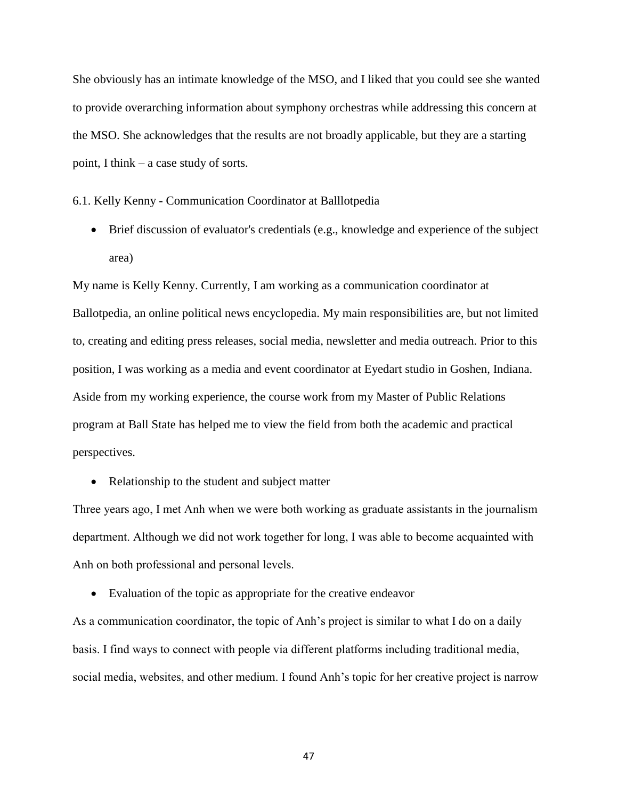She obviously has an intimate knowledge of the MSO, and I liked that you could see she wanted to provide overarching information about symphony orchestras while addressing this concern at the MSO. She acknowledges that the results are not broadly applicable, but they are a starting point, I think – a case study of sorts.

6.1. Kelly Kenny **-** Communication Coordinator at Balllotpedia

 Brief discussion of evaluator's credentials (e.g., knowledge and experience of the subject area)

My name is Kelly Kenny. Currently, I am working as a communication coordinator at Ballotpedia, an online political news encyclopedia. My main responsibilities are, but not limited to, creating and editing press releases, social media, newsletter and media outreach. Prior to this position, I was working as a media and event coordinator at Eyedart studio in Goshen, Indiana. Aside from my working experience, the course work from my Master of Public Relations program at Ball State has helped me to view the field from both the academic and practical perspectives.

• Relationship to the student and subject matter

Three years ago, I met Anh when we were both working as graduate assistants in the journalism department. Although we did not work together for long, I was able to become acquainted with Anh on both professional and personal levels.

Evaluation of the topic as appropriate for the creative endeavor

As a communication coordinator, the topic of Anh's project is similar to what I do on a daily basis. I find ways to connect with people via different platforms including traditional media, social media, websites, and other medium. I found Anh's topic for her creative project is narrow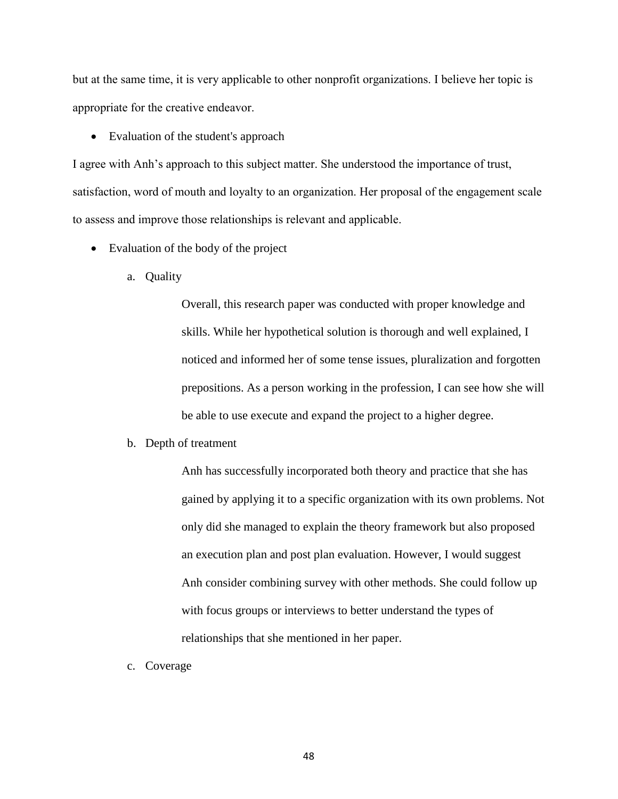but at the same time, it is very applicable to other nonprofit organizations. I believe her topic is appropriate for the creative endeavor.

• Evaluation of the student's approach

I agree with Anh's approach to this subject matter. She understood the importance of trust, satisfaction, word of mouth and loyalty to an organization. Her proposal of the engagement scale to assess and improve those relationships is relevant and applicable.

- Evaluation of the body of the project
	- a. Quality

Overall, this research paper was conducted with proper knowledge and skills. While her hypothetical solution is thorough and well explained, I noticed and informed her of some tense issues, pluralization and forgotten prepositions. As a person working in the profession, I can see how she will be able to use execute and expand the project to a higher degree.

b. Depth of treatment

Anh has successfully incorporated both theory and practice that she has gained by applying it to a specific organization with its own problems. Not only did she managed to explain the theory framework but also proposed an execution plan and post plan evaluation. However, I would suggest Anh consider combining survey with other methods. She could follow up with focus groups or interviews to better understand the types of relationships that she mentioned in her paper.

c. Coverage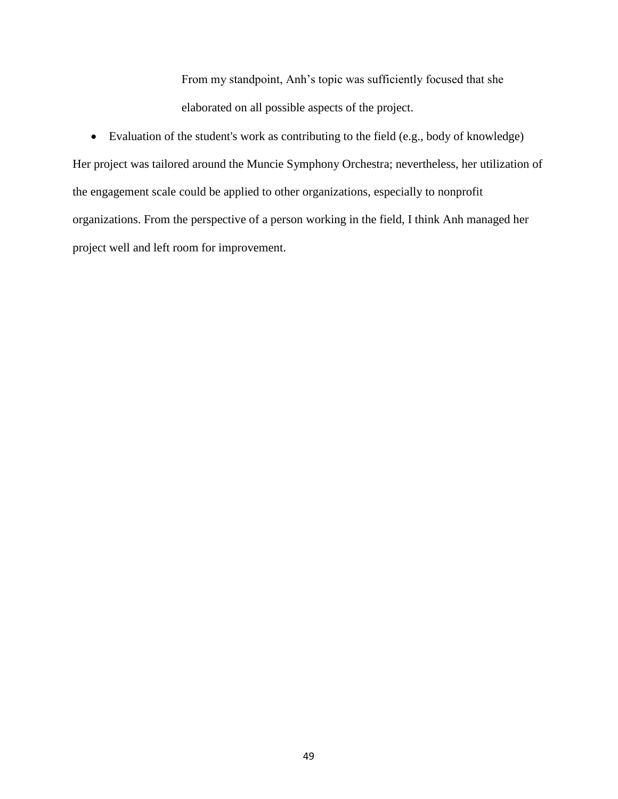From my standpoint, Anh's topic was sufficiently focused that she elaborated on all possible aspects of the project.

 Evaluation of the student's work as contributing to the field (e.g., body of knowledge) Her project was tailored around the Muncie Symphony Orchestra; nevertheless, her utilization of the engagement scale could be applied to other organizations, especially to nonprofit organizations. From the perspective of a person working in the field, I think Anh managed her project well and left room for improvement.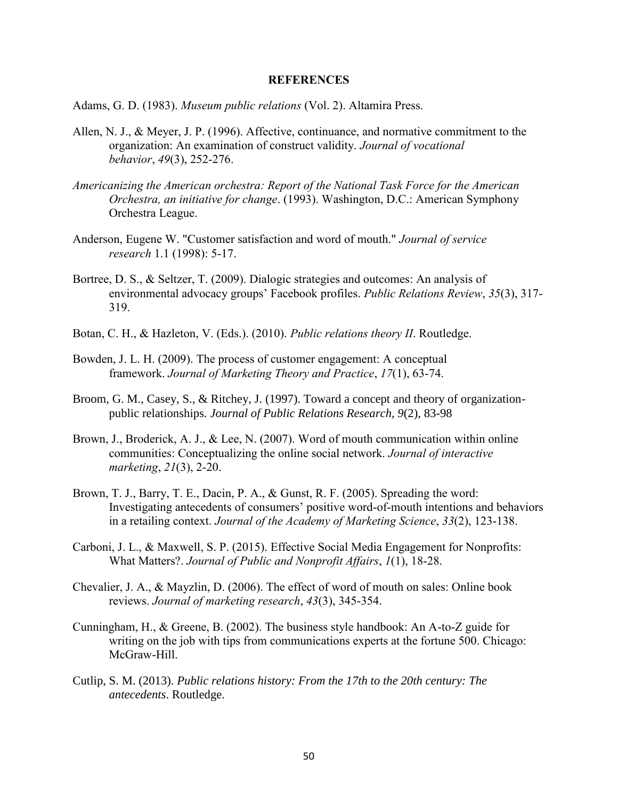#### **REFERENCES**

Adams, G. D. (1983). *Museum public relations* (Vol. 2). Altamira Press.

- Allen, N. J., & Meyer, J. P. (1996). Affective, continuance, and normative commitment to the organization: An examination of construct validity. *Journal of vocational behavior*, *49*(3), 252-276.
- *Americanizing the American orchestra: Report of the National Task Force for the American Orchestra, an initiative for change*. (1993). Washington, D.C.: American Symphony Orchestra League.
- Anderson, Eugene W. "Customer satisfaction and word of mouth." *Journal of service research* 1.1 (1998): 5-17.
- Bortree, D. S., & Seltzer, T. (2009). Dialogic strategies and outcomes: An analysis of environmental advocacy groups' Facebook profiles. *Public Relations Review*, *35*(3), 317- 319.
- Botan, C. H., & Hazleton, V. (Eds.). (2010). *Public relations theory II*. Routledge.
- Bowden, J. L. H. (2009). The process of customer engagement: A conceptual framework. *Journal of Marketing Theory and Practice*, *17*(1), 63-74.
- Broom, G. M., Casey, S., & Ritchey, J. (1997). Toward a concept and theory of organizationpublic relationships*. Journal of Public Relations Research, 9*(2), 83-98
- Brown, J., Broderick, A. J., & Lee, N. (2007). Word of mouth communication within online communities: Conceptualizing the online social network. *Journal of interactive marketing*, *21*(3), 2-20.
- Brown, T. J., Barry, T. E., Dacin, P. A., & Gunst, R. F. (2005). Spreading the word: Investigating antecedents of consumers' positive word-of-mouth intentions and behaviors in a retailing context. *Journal of the Academy of Marketing Science*, *33*(2), 123-138.
- Carboni, J. L., & Maxwell, S. P. (2015). Effective Social Media Engagement for Nonprofits: What Matters?. *Journal of Public and Nonprofit Affairs*, *1*(1), 18-28.
- Chevalier, J. A., & Mayzlin, D. (2006). The effect of word of mouth on sales: Online book reviews. *Journal of marketing research*, *43*(3), 345-354.
- Cunningham, H., & Greene, B. (2002). The business style handbook: An A-to-Z guide for writing on the job with tips from communications experts at the fortune 500. Chicago: McGraw-Hill.
- Cutlip, S. M. (2013). *Public relations history: From the 17th to the 20th century: The antecedents*. Routledge.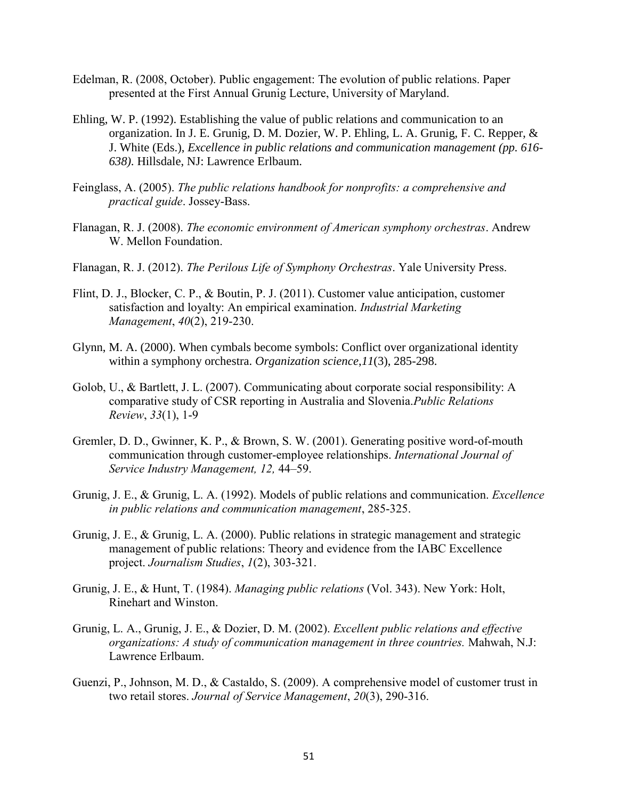- Edelman, R. (2008, October). Public engagement: The evolution of public relations. Paper presented at the First Annual Grunig Lecture, University of Maryland.
- Ehling, W. P. (1992). Establishing the value of public relations and communication to an organization. In J. E. Grunig, D. M. Dozier, W. P. Ehling, L. A. Grunig, F. C. Repper, & J. White (Eds.), *Excellence in public relations and communication management (pp. 616- 638)*. Hillsdale, NJ: Lawrence Erlbaum.
- Feinglass, A. (2005). *The public relations handbook for nonprofits: a comprehensive and practical guide*. Jossey-Bass.
- Flanagan, R. J. (2008). *The economic environment of American symphony orchestras*. Andrew W. Mellon Foundation.
- Flanagan, R. J. (2012). *The Perilous Life of Symphony Orchestras*. Yale University Press.
- Flint, D. J., Blocker, C. P., & Boutin, P. J. (2011). Customer value anticipation, customer satisfaction and loyalty: An empirical examination. *Industrial Marketing Management*, *40*(2), 219-230.
- Glynn, M. A. (2000). When cymbals become symbols: Conflict over organizational identity within a symphony orchestra. *Organization science*,*11*(3), 285-298.
- Golob, U., & Bartlett, J. L. (2007). Communicating about corporate social responsibility: A comparative study of CSR reporting in Australia and Slovenia.*Public Relations Review*, *33*(1), 1-9
- Gremler, D. D., Gwinner, K. P., & Brown, S. W. (2001). Generating positive word-of-mouth communication through customer-employee relationships. *International Journal of Service Industry Management, 12,* 44–59.
- Grunig, J. E., & Grunig, L. A. (1992). Models of public relations and communication. *Excellence in public relations and communication management*, 285-325.
- Grunig, J. E., & Grunig, L. A. (2000). Public relations in strategic management and strategic management of public relations: Theory and evidence from the IABC Excellence project. *Journalism Studies*, *1*(2), 303-321.
- Grunig, J. E., & Hunt, T. (1984). *Managing public relations* (Vol. 343). New York: Holt, Rinehart and Winston.
- Grunig, L. A., Grunig, J. E., & Dozier, D. M. (2002). *Excellent public relations and effective organizations: A study of communication management in three countries.* Mahwah, N.J: Lawrence Erlbaum.
- Guenzi, P., Johnson, M. D., & Castaldo, S. (2009). A comprehensive model of customer trust in two retail stores. *Journal of Service Management*, *20*(3), 290-316.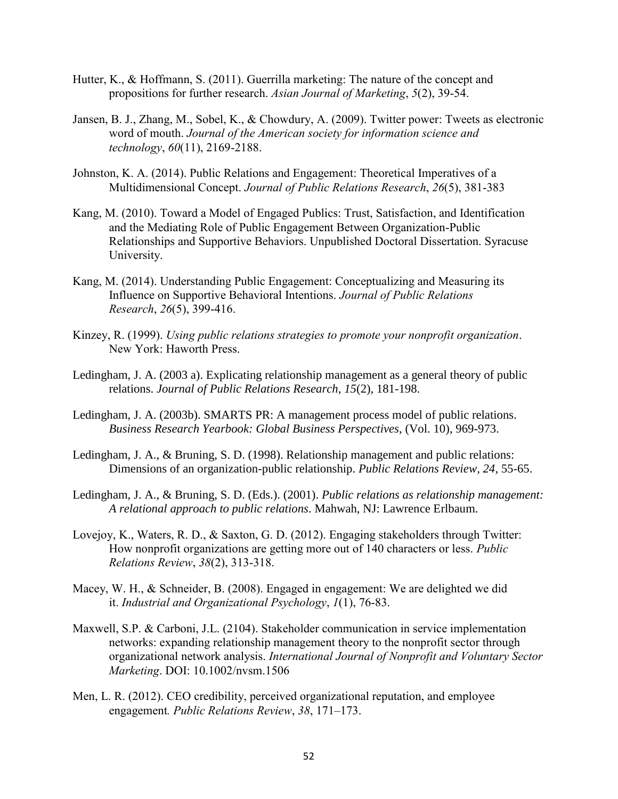- Hutter, K., & Hoffmann, S. (2011). Guerrilla marketing: The nature of the concept and propositions for further research. *Asian Journal of Marketing*, *5*(2), 39-54.
- Jansen, B. J., Zhang, M., Sobel, K., & Chowdury, A. (2009). Twitter power: Tweets as electronic word of mouth. *Journal of the American society for information science and technology*, *60*(11), 2169-2188.
- Johnston, K. A. (2014). Public Relations and Engagement: Theoretical Imperatives of a Multidimensional Concept. *Journal of Public Relations Research*, *26*(5), 381-383
- Kang, M. (2010). Toward a Model of Engaged Publics: Trust, Satisfaction, and Identification and the Mediating Role of Public Engagement Between Organization-Public Relationships and Supportive Behaviors. Unpublished Doctoral Dissertation. Syracuse University.
- Kang, M. (2014). Understanding Public Engagement: Conceptualizing and Measuring its Influence on Supportive Behavioral Intentions. *Journal of Public Relations Research*, *26*(5), 399-416.
- Kinzey, R. (1999). *Using public relations strategies to promote your nonprofit organization*. New York: Haworth Press.
- Ledingham, J. A. (2003 a). Explicating relationship management as a general theory of public relations. *Journal of Public Relations Research*, *15*(2), 181-198.
- Ledingham, J. A. (2003b). SMARTS PR: A management process model of public relations. *Business Research Yearbook: Global Business Perspectives*, (Vol. 10), 969-973.
- Ledingham, J. A., & Bruning, S. D. (1998). Relationship management and public relations: Dimensions of an organization-public relationship. *Public Relations Review, 24*, 55-65.
- Ledingham, J. A., & Bruning, S. D. (Eds.). (2001). *Public relations as relationship management: A relational approach to public relations*. Mahwah, NJ: Lawrence Erlbaum.
- Lovejoy, K., Waters, R. D., & Saxton, G. D. (2012). Engaging stakeholders through Twitter: How nonprofit organizations are getting more out of 140 characters or less. *Public Relations Review*, *38*(2), 313-318.
- Macey, W. H., & Schneider, B. (2008). Engaged in engagement: We are delighted we did it. *Industrial and Organizational Psychology*, *1*(1), 76-83.
- Maxwell, S.P. & Carboni, J.L. (2104). Stakeholder communication in service implementation networks: expanding relationship management theory to the nonprofit sector through organizational network analysis. *International Journal of Nonprofit and Voluntary Sector Marketing*. DOI: 10.1002/nvsm.1506
- Men, L. R. (2012). CEO credibility, perceived organizational reputation, and employee engagement*. Public Relations Review*, *38*, 171–173.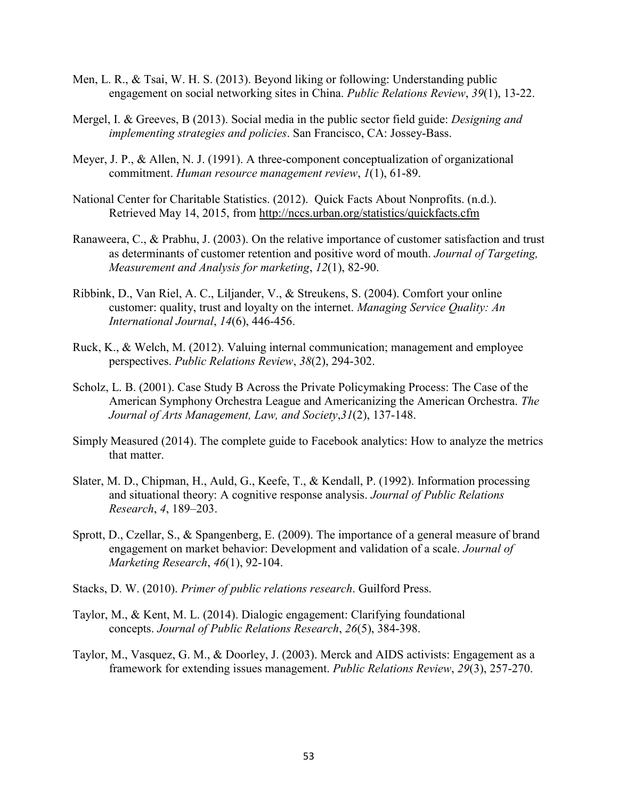- Men, L. R., & Tsai, W. H. S. (2013). Beyond liking or following: Understanding public engagement on social networking sites in China. *Public Relations Review*, *39*(1), 13-22.
- Mergel, I. & Greeves, B (2013). Social media in the public sector field guide: *Designing and implementing strategies and policies*. San Francisco, CA: Jossey-Bass.
- Meyer, J. P., & Allen, N. J. (1991). A three-component conceptualization of organizational commitment. *Human resource management review*, *1*(1), 61-89.
- National Center for Charitable Statistics. (2012). Quick Facts About Nonprofits. (n.d.). Retrieved May 14, 2015, from<http://nccs.urban.org/statistics/quickfacts.cfm>
- Ranaweera, C., & Prabhu, J. (2003). On the relative importance of customer satisfaction and trust as determinants of customer retention and positive word of mouth. *Journal of Targeting, Measurement and Analysis for marketing*, *12*(1), 82-90.
- Ribbink, D., Van Riel, A. C., Liljander, V., & Streukens, S. (2004). Comfort your online customer: quality, trust and loyalty on the internet. *Managing Service Quality: An International Journal*, *14*(6), 446-456.
- Ruck, K., & Welch, M. (2012). Valuing internal communication; management and employee perspectives. *Public Relations Review*, *38*(2), 294-302.
- Scholz, L. B. (2001). Case Study B Across the Private Policymaking Process: The Case of the American Symphony Orchestra League and Americanizing the American Orchestra. *The Journal of Arts Management, Law, and Society*,*31*(2), 137-148.
- Simply Measured (2014). The complete guide to Facebook analytics: How to analyze the metrics that matter.
- Slater, M. D., Chipman, H., Auld, G., Keefe, T., & Kendall, P. (1992). Information processing and situational theory: A cognitive response analysis. *Journal of Public Relations Research*, *4*, 189–203.
- Sprott, D., Czellar, S., & Spangenberg, E. (2009). The importance of a general measure of brand engagement on market behavior: Development and validation of a scale. *Journal of Marketing Research*, *46*(1), 92-104.
- Stacks, D. W. (2010). *Primer of public relations research*. Guilford Press.
- Taylor, M., & Kent, M. L. (2014). Dialogic engagement: Clarifying foundational concepts. *Journal of Public Relations Research*, *26*(5), 384-398.
- Taylor, M., Vasquez, G. M., & Doorley, J. (2003). Merck and AIDS activists: Engagement as a framework for extending issues management. *Public Relations Review*, *29*(3), 257-270.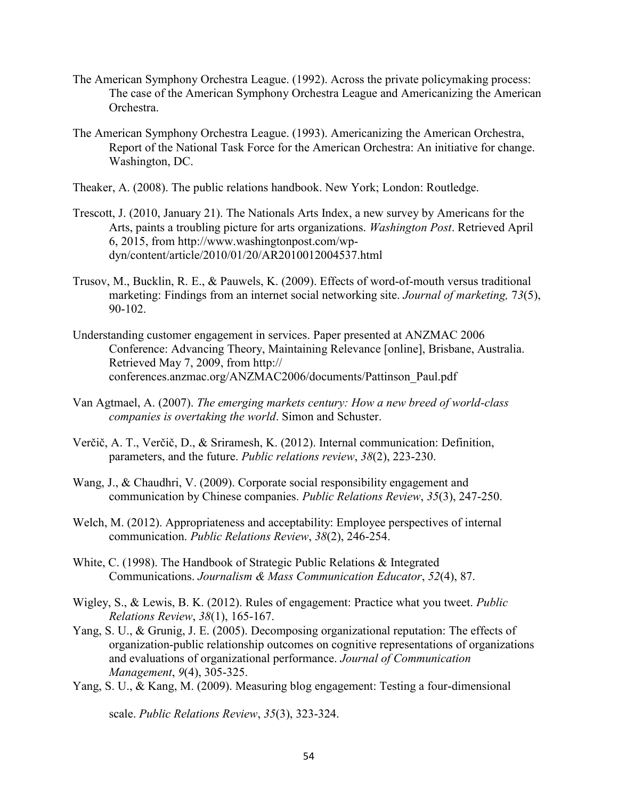- The American Symphony Orchestra League. (1992). Across the private policymaking process: The case of the American Symphony Orchestra League and Americanizing the American **Orchestra**
- The American Symphony Orchestra League. (1993). Americanizing the American Orchestra, Report of the National Task Force for the American Orchestra: An initiative for change. Washington, DC.
- Theaker, A. (2008). The public relations handbook. New York; London: Routledge.
- Trescott, J. (2010, January 21). The Nationals Arts Index, a new survey by Americans for the Arts, paints a troubling picture for arts organizations. *Washington Post*. Retrieved April 6, 2015, from http://www.washingtonpost.com/wpdyn/content/article/2010/01/20/AR2010012004537.html
- Trusov, M., Bucklin, R. E., & Pauwels, K. (2009). Effects of word-of-mouth versus traditional marketing: Findings from an internet social networking site. *Journal of marketing,* 7*3*(5), 90-102.
- Understanding customer engagement in services. Paper presented at ANZMAC 2006 Conference: Advancing Theory, Maintaining Relevance [online], Brisbane, Australia. Retrieved May 7, 2009, from http:// conferences.anzmac.org/ANZMAC2006/documents/Pattinson\_Paul.pdf
- Van Agtmael, A. (2007). *The emerging markets century: How a new breed of world-class companies is overtaking the world*. Simon and Schuster.
- Verčič, A. T., Verčič, D., & Sriramesh, K. (2012). Internal communication: Definition, parameters, and the future. *Public relations review*, *38*(2), 223-230.
- Wang, J., & Chaudhri, V. (2009). Corporate social responsibility engagement and communication by Chinese companies. *Public Relations Review*, *35*(3), 247-250.
- Welch, M. (2012). Appropriateness and acceptability: Employee perspectives of internal communication. *Public Relations Review*, *38*(2), 246-254.
- White, C. (1998). The Handbook of Strategic Public Relations & Integrated Communications. *Journalism & Mass Communication Educator*, *52*(4), 87.
- Wigley, S., & Lewis, B. K. (2012). Rules of engagement: Practice what you tweet. *Public Relations Review*, *38*(1), 165-167.
- Yang, S. U., & Grunig, J. E. (2005). Decomposing organizational reputation: The effects of organization-public relationship outcomes on cognitive representations of organizations and evaluations of organizational performance. *Journal of Communication Management*, *9*(4), 305-325.
- Yang, S. U., & Kang, M. (2009). Measuring blog engagement: Testing a four-dimensional

scale. *Public Relations Review*, *35*(3), 323-324.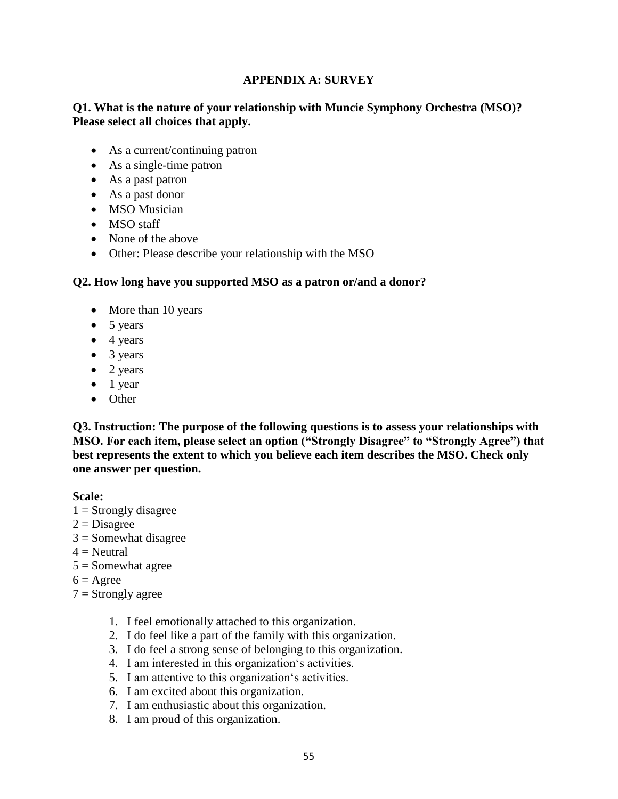## **APPENDIX A: SURVEY**

## **Q1. What is the nature of your relationship with Muncie Symphony Orchestra (MSO)? Please select all choices that apply.**

- As a current/continuing patron
- As a single-time patron
- As a past patron
- As a past donor
- MSO Musician
- MSO staff
- None of the above
- Other: Please describe your relationship with the MSO

### **Q2. How long have you supported MSO as a patron or/and a donor?**

- More than 10 years
- $\bullet$  5 years
- $\bullet$  4 years
- 3 years
- $\bullet$  2 years
- $\bullet$  1 year
- Other

**Q3. Instruction: The purpose of the following questions is to assess your relationships with MSO. For each item, please select an option ("Strongly Disagree" to "Strongly Agree") that best represents the extent to which you believe each item describes the MSO. Check only one answer per question.**

**Scale:** 

- $1 =$  Strongly disagree
- $2 = Disagree$
- $3 =$  Somewhat disagree
- $4 =$ Neutral
- $5 =$  Somewhat agree
- $6 = \text{Agree}$
- $7 =$ Strongly agree
	- 1. I feel emotionally attached to this organization.
	- 2. I do feel like a part of the family with this organization.
	- 3. I do feel a strong sense of belonging to this organization.
	- 4. I am interested in this organization's activities.
	- 5. I am attentive to this organization's activities.
	- 6. I am excited about this organization.
	- 7. I am enthusiastic about this organization.
	- 8. I am proud of this organization.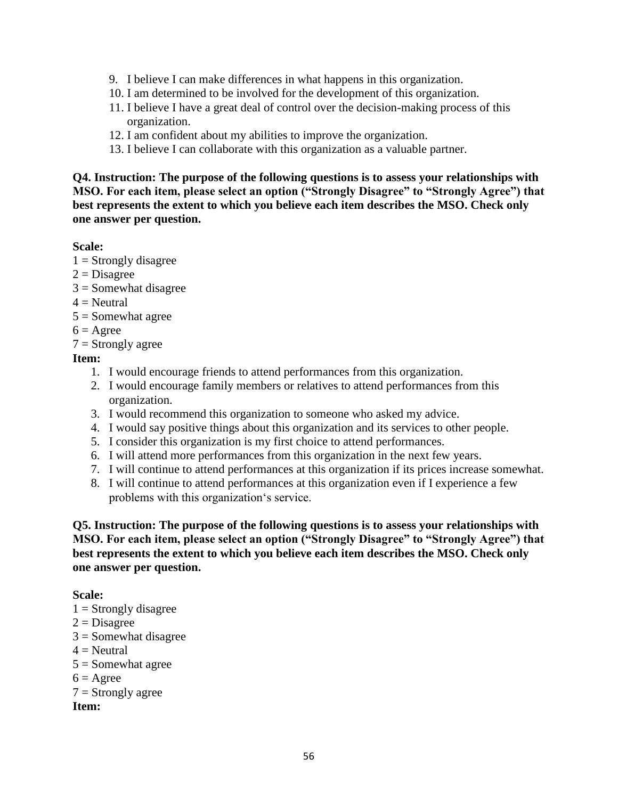- 9. I believe I can make differences in what happens in this organization.
- 10. I am determined to be involved for the development of this organization.
- 11. I believe I have a great deal of control over the decision-making process of this organization.
- 12. I am confident about my abilities to improve the organization.
- 13. I believe I can collaborate with this organization as a valuable partner.

**Q4. Instruction: The purpose of the following questions is to assess your relationships with MSO. For each item, please select an option ("Strongly Disagree" to "Strongly Agree") that best represents the extent to which you believe each item describes the MSO. Check only one answer per question.**

### **Scale:**

- $1 =$  Strongly disagree
- $2 = Disagree$
- $3 =$  Somewhat disagree
- $4 =$ Neutral
- $5 =$ Somewhat agree
- $6 = \text{Agree}$
- $7 =$ Strongly agree

## **Item:**

- 1. I would encourage friends to attend performances from this organization.
- 2. I would encourage family members or relatives to attend performances from this organization.
- 3. I would recommend this organization to someone who asked my advice.
- 4. I would say positive things about this organization and its services to other people.
- 5. I consider this organization is my first choice to attend performances.
- 6. I will attend more performances from this organization in the next few years.
- 7. I will continue to attend performances at this organization if its prices increase somewhat.
- 8. I will continue to attend performances at this organization even if I experience a few problems with this organization's service.

**Q5. Instruction: The purpose of the following questions is to assess your relationships with MSO. For each item, please select an option ("Strongly Disagree" to "Strongly Agree") that best represents the extent to which you believe each item describes the MSO. Check only one answer per question.**

### **Scale:**

- $1 =$  Strongly disagree
- $2 = Disagree$
- 3 = Somewhat disagree
- $4 =$ Neutral
- $5 =$  Somewhat agree
- $6 = \text{Agree}$
- $7 =$ Strongly agree

**Item:**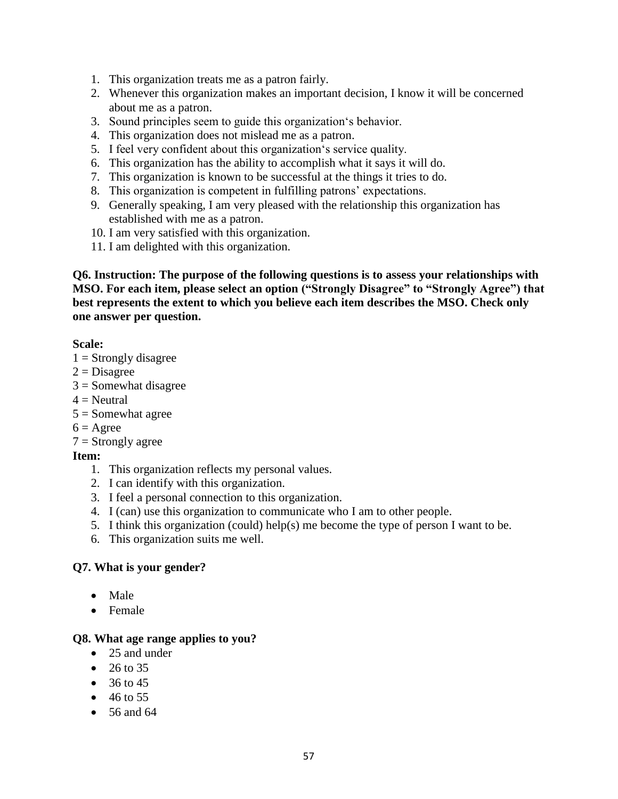- 1. This organization treats me as a patron fairly.
- 2. Whenever this organization makes an important decision, I know it will be concerned about me as a patron.
- 3. Sound principles seem to guide this organization's behavior.
- 4. This organization does not mislead me as a patron.
- 5. I feel very confident about this organization's service quality.
- 6. This organization has the ability to accomplish what it says it will do.
- 7. This organization is known to be successful at the things it tries to do.
- 8. This organization is competent in fulfilling patrons' expectations.
- 9. Generally speaking, I am very pleased with the relationship this organization has established with me as a patron.
- 10. I am very satisfied with this organization.
- 11. I am delighted with this organization.

**Q6. Instruction: The purpose of the following questions is to assess your relationships with MSO. For each item, please select an option ("Strongly Disagree" to "Strongly Agree") that best represents the extent to which you believe each item describes the MSO. Check only one answer per question.**

### **Scale:**

- $1 =$ Strongly disagree
- $2 = Disagree$
- $3 =$ Somewhat disagree
- $4$  = Neutral
- $5 =$ Somewhat agree
- $6 = \text{Agree}$
- $7 =$ Strongly agree

## **Item:**

- 1. This organization reflects my personal values.
- 2. I can identify with this organization.
- 3. I feel a personal connection to this organization.
- 4. I (can) use this organization to communicate who I am to other people.
- 5. I think this organization (could) help(s) me become the type of person I want to be.
- 6. This organization suits me well.

### **Q7. What is your gender?**

- Male
- Female

### **Q8. What age range applies to you?**

- 25 and under
- $26 to 35$
- $36 to 45$
- $-46$  to 55
- $\bullet$  56 and 64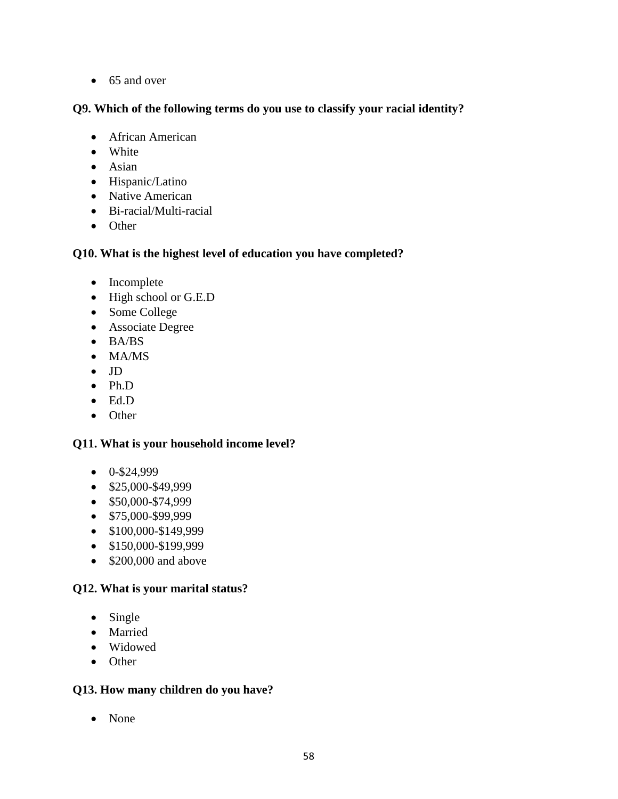• 65 and over

## **Q9. Which of the following terms do you use to classify your racial identity?**

- African American
- White
- Asian
- Hispanic/Latino
- Native American
- Bi-racial/Multi-racial
- Other

## **Q10. What is the highest level of education you have completed?**

- Incomplete
- High school or G.E.D
- Some College
- Associate Degree
- BA/BS
- MA/MS
- $\bullet$  JD
- Ph.D
- Ed.D
- Other

## **Q11. What is your household income level?**

- $0-$ \$24,999
- $\bullet$  \$25,000-\$49,999
- $\bullet$  \$50,000-\$74,999
- $\bullet$  \$75,000-\$99,999
- $\bullet$  \$100,000-\$149,999
- $\bullet$  \$150,000-\$199,999
- $\bullet$  \$200,000 and above

## **Q12. What is your marital status?**

- Single
- Married
- Widowed
- Other

## **Q13. How many children do you have?**

• None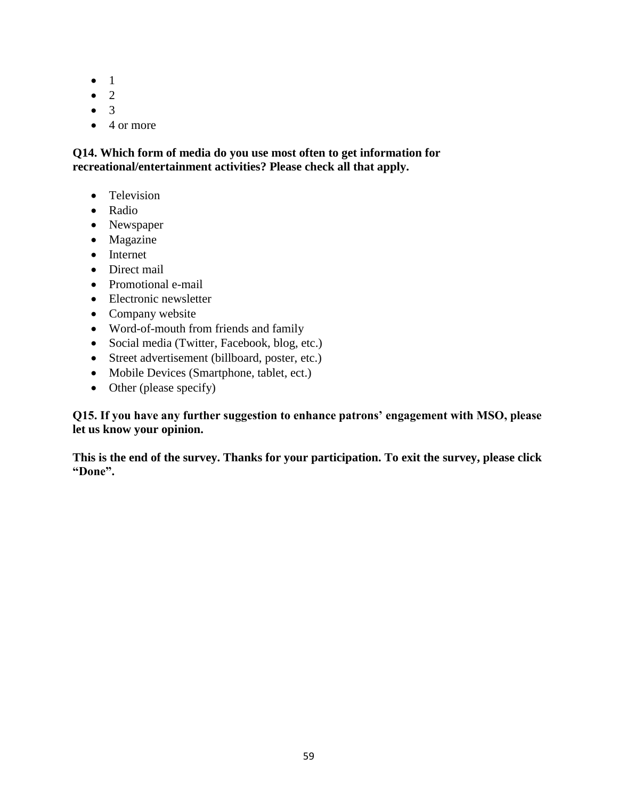- $\bullet$  1
- 2
- $\bullet$  3
- $\bullet$  4 or more

**Q14. Which form of media do you use most often to get information for recreational/entertainment activities? Please check all that apply.**

- Television
- Radio
- Newspaper
- Magazine
- Internet
- Direct mail
- Promotional e-mail
- Electronic newsletter
- Company website
- Word-of-mouth from friends and family
- Social media (Twitter, Facebook, blog, etc.)
- Street advertisement (billboard, poster, etc.)
- Mobile Devices (Smartphone, tablet, ect.)
- Other (please specify)

**Q15. If you have any further suggestion to enhance patrons' engagement with MSO, please let us know your opinion.**

**This is the end of the survey. Thanks for your participation. To exit the survey, please click "Done".**